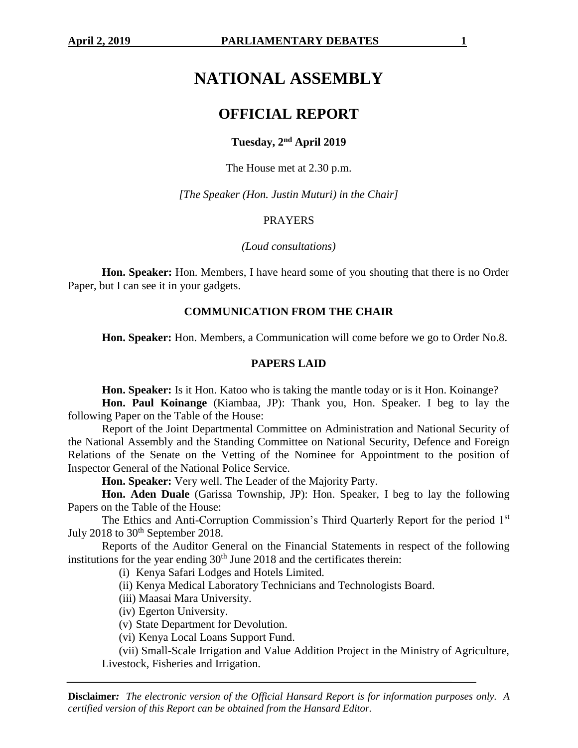# **NATIONAL ASSEMBLY**

## **OFFICIAL REPORT**

## **Tuesday, 2nd April 2019**

The House met at 2.30 p.m.

*[The Speaker (Hon. Justin Muturi) in the Chair]*

## PRAYERS

*(Loud consultations)*

**Hon. Speaker:** Hon. Members, I have heard some of you shouting that there is no Order Paper, but I can see it in your gadgets.

## **COMMUNICATION FROM THE CHAIR**

**Hon. Speaker:** Hon. Members, a Communication will come before we go to Order No.8.

#### **PAPERS LAID**

**Hon. Speaker:** Is it Hon. Katoo who is taking the mantle today or is it Hon. Koinange?

**Hon. Paul Koinange** (Kiambaa, JP): Thank you, Hon. Speaker. I beg to lay the following Paper on the Table of the House:

Report of the Joint Departmental Committee on Administration and National Security of the National Assembly and the Standing Committee on National Security, Defence and Foreign Relations of the Senate on the Vetting of the Nominee for Appointment to the position of Inspector General of the National Police Service.

**Hon. Speaker:** Very well. The Leader of the Majority Party.

**Hon. Aden Duale** (Garissa Township, JP): Hon. Speaker, I beg to lay the following Papers on the Table of the House:

The Ethics and Anti-Corruption Commission's Third Quarterly Report for the period 1st July 2018 to  $30<sup>th</sup>$  September 2018.

Reports of the Auditor General on the Financial Statements in respect of the following institutions for the year ending  $30<sup>th</sup>$  June 2018 and the certificates therein:

(i) Kenya Safari Lodges and Hotels Limited.

(ii) Kenya Medical Laboratory Technicians and Technologists Board.

(iii) Maasai Mara University.

(iv) Egerton University.

(v) State Department for Devolution.

(vi) Kenya Local Loans Support Fund.

(vii) Small-Scale Irrigation and Value Addition Project in the Ministry of Agriculture, Livestock, Fisheries and Irrigation.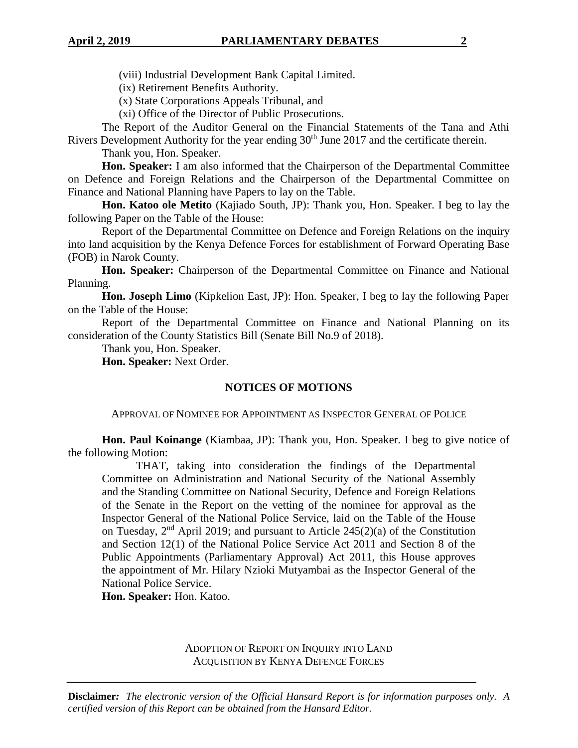(viii) Industrial Development Bank Capital Limited.

(ix) Retirement Benefits Authority.

(x) State Corporations Appeals Tribunal, and

(xi) Office of the Director of Public Prosecutions.

The Report of the Auditor General on the Financial Statements of the Tana and Athi Rivers Development Authority for the year ending 30<sup>th</sup> June 2017 and the certificate therein.

Thank you, Hon. Speaker.

**Hon. Speaker:** I am also informed that the Chairperson of the Departmental Committee on Defence and Foreign Relations and the Chairperson of the Departmental Committee on Finance and National Planning have Papers to lay on the Table.

**Hon. Katoo ole Metito** (Kajiado South, JP): Thank you, Hon. Speaker. I beg to lay the following Paper on the Table of the House:

Report of the Departmental Committee on Defence and Foreign Relations on the inquiry into land acquisition by the Kenya Defence Forces for establishment of Forward Operating Base (FOB) in Narok County.

**Hon. Speaker:** Chairperson of the Departmental Committee on Finance and National Planning.

**Hon. Joseph Limo** (Kipkelion East, JP): Hon. Speaker, I beg to lay the following Paper on the Table of the House:

Report of the Departmental Committee on Finance and National Planning on its consideration of the County Statistics Bill (Senate Bill No.9 of 2018).

Thank you, Hon. Speaker.

**Hon. Speaker:** Next Order.

#### **NOTICES OF MOTIONS**

APPROVAL OF NOMINEE FOR APPOINTMENT AS INSPECTOR GENERAL OF POLICE

**Hon. Paul Koinange** (Kiambaa, JP): Thank you, Hon. Speaker. I beg to give notice of the following Motion:

THAT, taking into consideration the findings of the Departmental Committee on Administration and National Security of the National Assembly and the Standing Committee on National Security, Defence and Foreign Relations of the Senate in the Report on the vetting of the nominee for approval as the Inspector General of the National Police Service, laid on the Table of the House on Tuesday,  $2<sup>nd</sup>$  April 2019; and pursuant to Article 245(2)(a) of the Constitution and Section 12(1) of the National Police Service Act 2011 and Section 8 of the Public Appointments (Parliamentary Approval) Act 2011, this House approves the appointment of Mr. Hilary Nzioki Mutyambai as the Inspector General of the National Police Service.

**Hon. Speaker:** Hon. Katoo.

ADOPTION OF REPORT ON INQUIRY INTO LAND ACQUISITION BY KENYA DEFENCE FORCES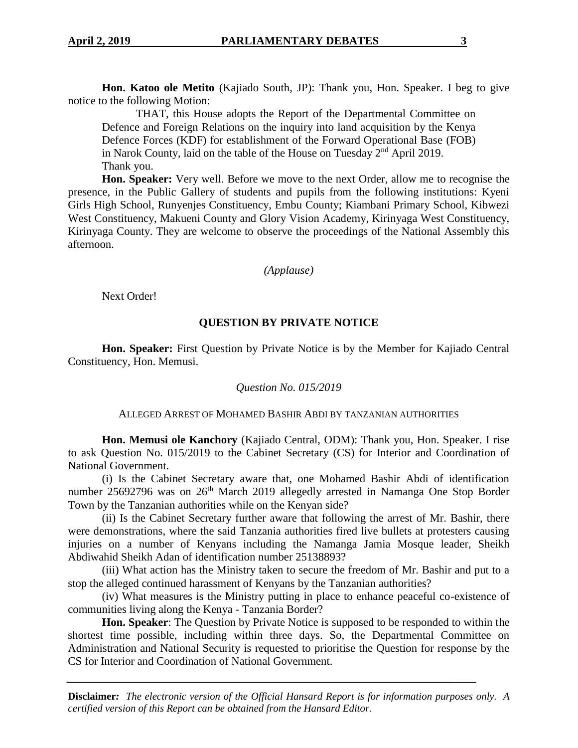**Hon. Katoo ole Metito** (Kajiado South, JP): Thank you, Hon. Speaker. I beg to give notice to the following Motion:

THAT, this House adopts the Report of the Departmental Committee on Defence and Foreign Relations on the inquiry into land acquisition by the Kenya Defence Forces (KDF) for establishment of the Forward Operational Base (FOB) in Narok County, laid on the table of the House on Tuesday  $2<sup>nd</sup>$  April 2019. Thank you.

**Hon. Speaker:** Very well. Before we move to the next Order, allow me to recognise the presence, in the Public Gallery of students and pupils from the following institutions: Kyeni Girls High School, Runyenjes Constituency, Embu County; Kiambani Primary School, Kibwezi West Constituency, Makueni County and Glory Vision Academy, Kirinyaga West Constituency, Kirinyaga County. They are welcome to observe the proceedings of the National Assembly this afternoon.

*(Applause)*

Next Order!

## **QUESTION BY PRIVATE NOTICE**

**Hon. Speaker:** First Question by Private Notice is by the Member for Kajiado Central Constituency, Hon. Memusi.

## *Question No. 015/2019*

#### ALLEGED ARREST OF MOHAMED BASHIR ABDI BY TANZANIAN AUTHORITIES

**Hon. Memusi ole Kanchory** (Kajiado Central, ODM): Thank you, Hon. Speaker. I rise to ask Question No. 015/2019 to the Cabinet Secretary (CS) for Interior and Coordination of National Government.

(i) Is the Cabinet Secretary aware that, one Mohamed Bashir Abdi of identification number 25692796 was on 26<sup>th</sup> March 2019 allegedly arrested in Namanga One Stop Border Town by the Tanzanian authorities while on the Kenyan side?

(ii) Is the Cabinet Secretary further aware that following the arrest of Mr. Bashir, there were demonstrations, where the said Tanzania authorities fired live bullets at protesters causing injuries on a number of Kenyans including the Namanga Jamia Mosque leader, Sheikh Abdiwahid Sheikh Adan of identification number 25138893?

(iii) What action has the Ministry taken to secure the freedom of Mr. Bashir and put to a stop the alleged continued harassment of Kenyans by the Tanzanian authorities?

(iv) What measures is the Ministry putting in place to enhance peaceful co-existence of communities living along the Kenya - Tanzania Border?

**Hon. Speaker**: The Question by Private Notice is supposed to be responded to within the shortest time possible, including within three days. So, the Departmental Committee on Administration and National Security is requested to prioritise the Question for response by the CS for Interior and Coordination of National Government.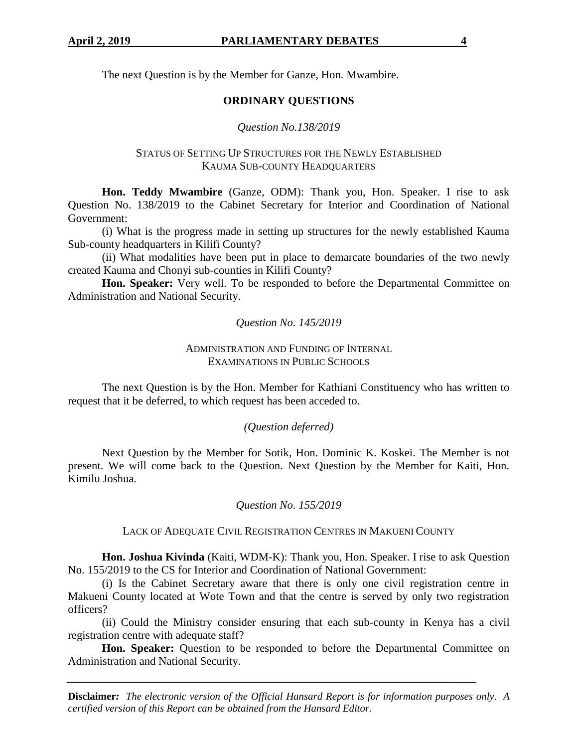The next Question is by the Member for Ganze, Hon. Mwambire.

## **ORDINARY QUESTIONS**

## *Question No.138/2019*

## STATUS OF SETTING UP STRUCTURES FOR THE NEWLY ESTABLISHED KAUMA SUB-COUNTY HEADQUARTERS

**Hon. Teddy Mwambire** (Ganze, ODM): Thank you, Hon. Speaker. I rise to ask Question No. 138/2019 to the Cabinet Secretary for Interior and Coordination of National Government:

(i) What is the progress made in setting up structures for the newly established Kauma Sub-county headquarters in Kilifi County?

(ii) What modalities have been put in place to demarcate boundaries of the two newly created Kauma and Chonyi sub-counties in Kilifi County?

**Hon. Speaker:** Very well. To be responded to before the Departmental Committee on Administration and National Security.

*Question No. 145/2019*

## ADMINISTRATION AND FUNDING OF INTERNAL EXAMINATIONS IN PUBLIC SCHOOLS

The next Question is by the Hon. Member for Kathiani Constituency who has written to request that it be deferred, to which request has been acceded to.

## *(Question deferred)*

Next Question by the Member for Sotik, Hon. Dominic K. Koskei. The Member is not present. We will come back to the Question. Next Question by the Member for Kaiti, Hon. Kimilu Joshua.

## *Question No. 155/2019*

#### LACK OF ADEQUATE CIVIL REGISTRATION CENTRES IN MAKUENI COUNTY

**Hon. Joshua Kivinda** (Kaiti, WDM-K): Thank you, Hon. Speaker. I rise to ask Question No. 155/2019 to the CS for Interior and Coordination of National Government:

(i) Is the Cabinet Secretary aware that there is only one civil registration centre in Makueni County located at Wote Town and that the centre is served by only two registration officers?

(ii) Could the Ministry consider ensuring that each sub-county in Kenya has a civil registration centre with adequate staff?

**Hon. Speaker:** Question to be responded to before the Departmental Committee on Administration and National Security.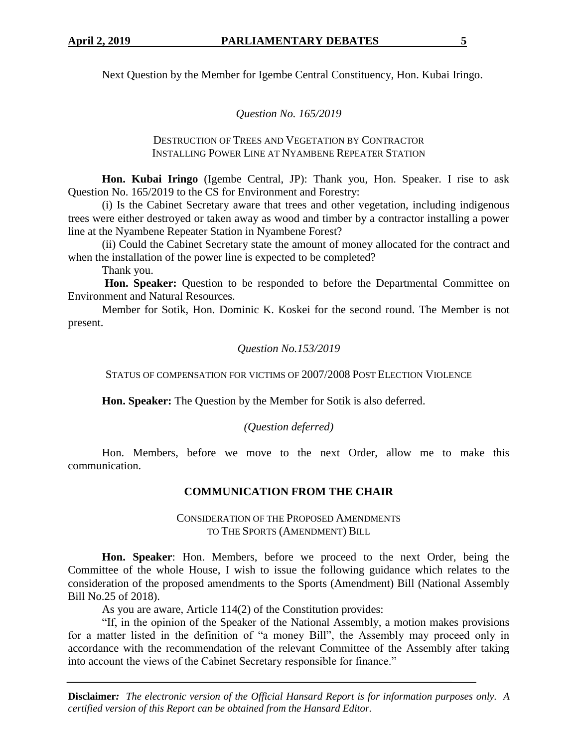Next Question by the Member for Igembe Central Constituency, Hon. Kubai Iringo.

## *Question No. 165/2019*

#### DESTRUCTION OF TREES AND VEGETATION BY CONTRACTOR INSTALLING POWER LINE AT NYAMBENE REPEATER STATION

**Hon. Kubai Iringo** (Igembe Central, JP): Thank you, Hon. Speaker. I rise to ask Question No. 165/2019 to the CS for Environment and Forestry:

(i) Is the Cabinet Secretary aware that trees and other vegetation, including indigenous trees were either destroyed or taken away as wood and timber by a contractor installing a power line at the Nyambene Repeater Station in Nyambene Forest?

(ii) Could the Cabinet Secretary state the amount of money allocated for the contract and when the installation of the power line is expected to be completed?

Thank you.

**Hon. Speaker:** Question to be responded to before the Departmental Committee on Environment and Natural Resources.

Member for Sotik, Hon. Dominic K. Koskei for the second round. The Member is not present.

## *Question No.153/2019*

STATUS OF COMPENSATION FOR VICTIMS OF 2007/2008 POST ELECTION VIOLENCE

**Hon. Speaker:** The Question by the Member for Sotik is also deferred.

## *(Question deferred)*

Hon. Members, before we move to the next Order, allow me to make this communication.

## **COMMUNICATION FROM THE CHAIR**

CONSIDERATION OF THE PROPOSED AMENDMENTS TO THE SPORTS (AMENDMENT) BILL

**Hon. Speaker**: Hon. Members, before we proceed to the next Order, being the Committee of the whole House, I wish to issue the following guidance which relates to the consideration of the proposed amendments to the Sports (Amendment) Bill (National Assembly Bill No.25 of 2018).

As you are aware, Article 114(2) of the Constitution provides:

"If, in the opinion of the Speaker of the National Assembly, a motion makes provisions for a matter listed in the definition of "a money Bill", the Assembly may proceed only in accordance with the recommendation of the relevant Committee of the Assembly after taking into account the views of the Cabinet Secretary responsible for finance."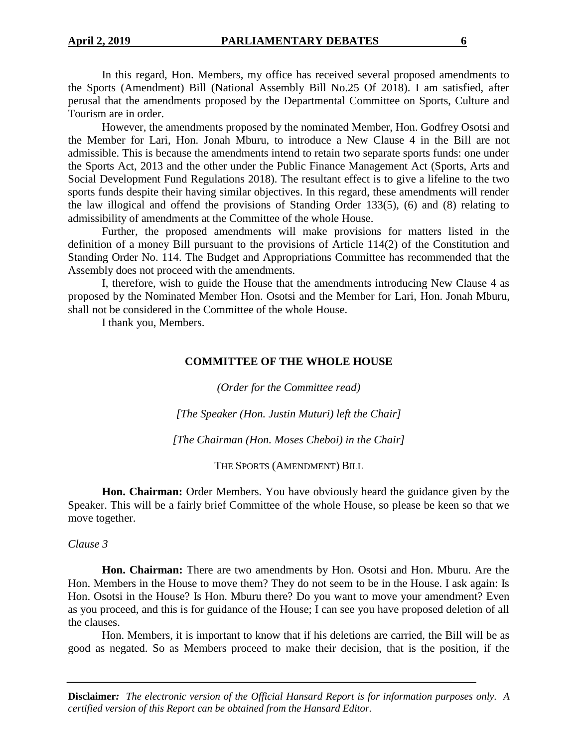In this regard, Hon. Members, my office has received several proposed amendments to the Sports (Amendment) Bill (National Assembly Bill No.25 Of 2018). I am satisfied, after perusal that the amendments proposed by the Departmental Committee on Sports, Culture and Tourism are in order.

However, the amendments proposed by the nominated Member, Hon. Godfrey Osotsi and the Member for Lari, Hon. Jonah Mburu, to introduce a New Clause 4 in the Bill are not admissible. This is because the amendments intend to retain two separate sports funds: one under the Sports Act, 2013 and the other under the Public Finance Management Act (Sports, Arts and Social Development Fund Regulations 2018). The resultant effect is to give a lifeline to the two sports funds despite their having similar objectives. In this regard, these amendments will render the law illogical and offend the provisions of Standing Order 133(5), (6) and (8) relating to admissibility of amendments at the Committee of the whole House.

Further, the proposed amendments will make provisions for matters listed in the definition of a money Bill pursuant to the provisions of Article 114(2) of the Constitution and Standing Order No. 114. The Budget and Appropriations Committee has recommended that the Assembly does not proceed with the amendments.

I, therefore, wish to guide the House that the amendments introducing New Clause 4 as proposed by the Nominated Member Hon. Osotsi and the Member for Lari, Hon. Jonah Mburu, shall not be considered in the Committee of the whole House.

I thank you, Members.

## **COMMITTEE OF THE WHOLE HOUSE**

*(Order for the Committee read)*

*[The Speaker (Hon. Justin Muturi) left the Chair]*

*[The Chairman (Hon. Moses Cheboi) in the Chair]*

THE SPORTS (AMENDMENT) BILL

**Hon. Chairman:** Order Members. You have obviously heard the guidance given by the Speaker. This will be a fairly brief Committee of the whole House, so please be keen so that we move together.

*Clause 3*

**Hon. Chairman:** There are two amendments by Hon. Osotsi and Hon. Mburu. Are the Hon. Members in the House to move them? They do not seem to be in the House. I ask again: Is Hon. Osotsi in the House? Is Hon. Mburu there? Do you want to move your amendment? Even as you proceed, and this is for guidance of the House; I can see you have proposed deletion of all the clauses.

Hon. Members, it is important to know that if his deletions are carried, the Bill will be as good as negated. So as Members proceed to make their decision, that is the position, if the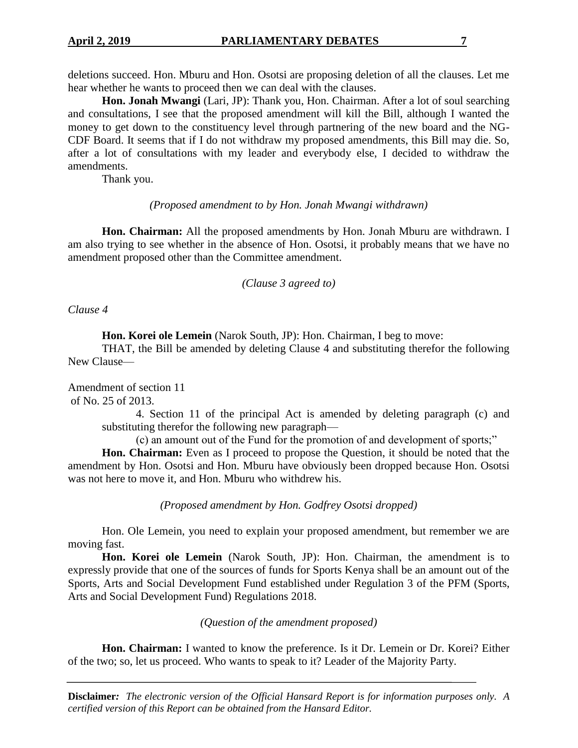deletions succeed. Hon. Mburu and Hon. Osotsi are proposing deletion of all the clauses. Let me hear whether he wants to proceed then we can deal with the clauses.

**Hon. Jonah Mwangi** (Lari, JP): Thank you, Hon. Chairman. After a lot of soul searching and consultations, I see that the proposed amendment will kill the Bill, although I wanted the money to get down to the constituency level through partnering of the new board and the NG-CDF Board. It seems that if I do not withdraw my proposed amendments, this Bill may die. So, after a lot of consultations with my leader and everybody else, I decided to withdraw the amendments.

Thank you.

#### *(Proposed amendment to by Hon. Jonah Mwangi withdrawn)*

**Hon. Chairman:** All the proposed amendments by Hon. Jonah Mburu are withdrawn. I am also trying to see whether in the absence of Hon. Osotsi, it probably means that we have no amendment proposed other than the Committee amendment.

*(Clause 3 agreed to)*

*Clause 4*

**Hon. Korei ole Lemein** (Narok South, JP): Hon. Chairman, I beg to move:

THAT, the Bill be amended by deleting Clause 4 and substituting therefor the following New Clause—

Amendment of section 11 of No. 25 of 2013.

> 4. Section 11 of the principal Act is amended by deleting paragraph (c) and substituting therefor the following new paragraph—

(c) an amount out of the Fund for the promotion of and development of sports;"

**Hon. Chairman:** Even as I proceed to propose the Question, it should be noted that the amendment by Hon. Osotsi and Hon. Mburu have obviously been dropped because Hon. Osotsi was not here to move it, and Hon. Mburu who withdrew his.

*(Proposed amendment by Hon. Godfrey Osotsi dropped)*

Hon. Ole Lemein, you need to explain your proposed amendment, but remember we are moving fast.

**Hon. Korei ole Lemein** (Narok South, JP): Hon. Chairman, the amendment is to expressly provide that one of the sources of funds for Sports Kenya shall be an amount out of the Sports, Arts and Social Development Fund established under Regulation 3 of the PFM (Sports, Arts and Social Development Fund) Regulations 2018.

*(Question of the amendment proposed)*

**Hon. Chairman:** I wanted to know the preference. Is it Dr. Lemein or Dr. Korei? Either of the two; so, let us proceed. Who wants to speak to it? Leader of the Majority Party.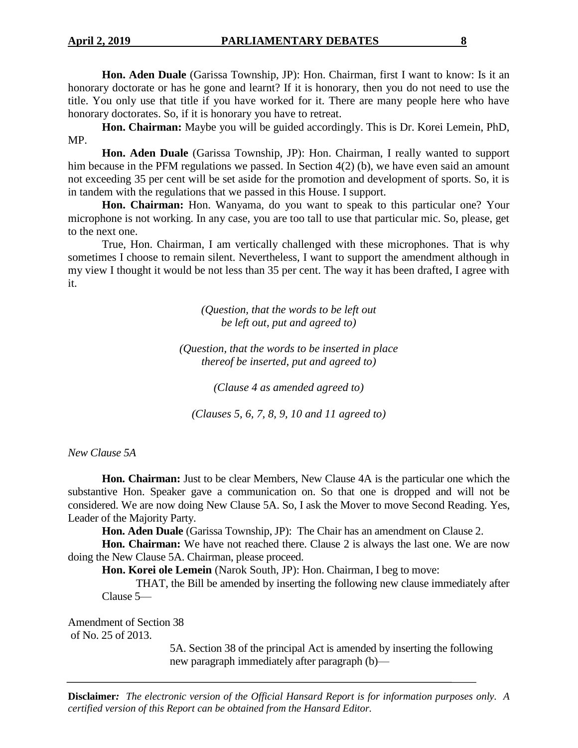**Hon. Aden Duale** (Garissa Township, JP): Hon. Chairman, first I want to know: Is it an honorary doctorate or has he gone and learnt? If it is honorary, then you do not need to use the title. You only use that title if you have worked for it. There are many people here who have honorary doctorates. So, if it is honorary you have to retreat.

**Hon. Chairman:** Maybe you will be guided accordingly. This is Dr. Korei Lemein, PhD, MP.

**Hon. Aden Duale** (Garissa Township, JP): Hon. Chairman, I really wanted to support him because in the PFM regulations we passed. In Section 4(2) (b), we have even said an amount not exceeding 35 per cent will be set aside for the promotion and development of sports. So, it is in tandem with the regulations that we passed in this House. I support.

**Hon. Chairman:** Hon. Wanyama, do you want to speak to this particular one? Your microphone is not working. In any case, you are too tall to use that particular mic. So, please, get to the next one.

True, Hon. Chairman, I am vertically challenged with these microphones. That is why sometimes I choose to remain silent. Nevertheless, I want to support the amendment although in my view I thought it would be not less than 35 per cent. The way it has been drafted, I agree with it.

> *(Question, that the words to be left out be left out, put and agreed to)*

*(Question, that the words to be inserted in place thereof be inserted, put and agreed to)*

*(Clause 4 as amended agreed to)*

*(Clauses 5, 6, 7, 8, 9, 10 and 11 agreed to)*

*New Clause 5A*

**Hon. Chairman:** Just to be clear Members, New Clause 4A is the particular one which the substantive Hon. Speaker gave a communication on. So that one is dropped and will not be considered. We are now doing New Clause 5A. So, I ask the Mover to move Second Reading. Yes, Leader of the Majority Party.

**Hon. Aden Duale** (Garissa Township, JP): The Chair has an amendment on Clause 2.

**Hon. Chairman:** We have not reached there. Clause 2 is always the last one. We are now doing the New Clause 5A. Chairman, please proceed.

**Hon. Korei ole Lemein** (Narok South, JP): Hon. Chairman, I beg to move:

THAT, the Bill be amended by inserting the following new clause immediately after Clause 5—

Amendment of Section 38 of No. 25 of 2013.

> 5A. Section 38 of the principal Act is amended by inserting the following new paragraph immediately after paragraph (b)—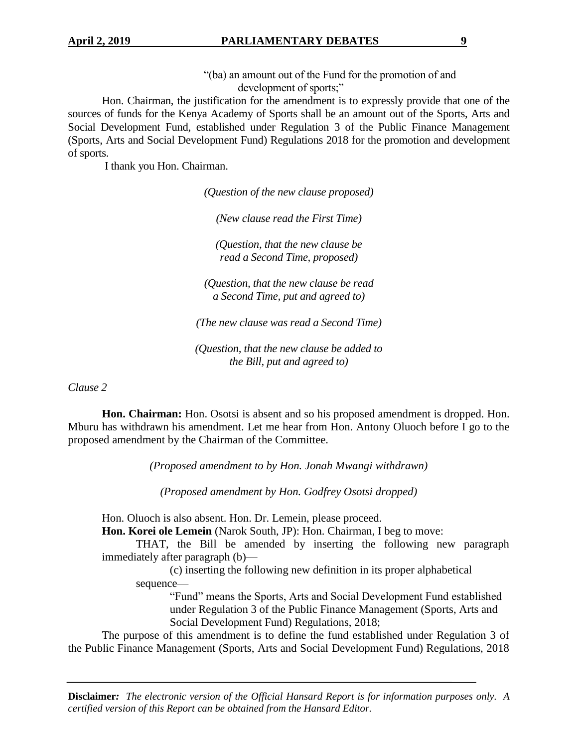"(ba) an amount out of the Fund for the promotion of and development of sports;"

Hon. Chairman, the justification for the amendment is to expressly provide that one of the sources of funds for the Kenya Academy of Sports shall be an amount out of the Sports, Arts and Social Development Fund, established under Regulation 3 of the Public Finance Management (Sports, Arts and Social Development Fund) Regulations 2018 for the promotion and development of sports.

I thank you Hon. Chairman.

*(Question of the new clause proposed)*

*(New clause read the First Time)*

*(Question, that the new clause be read a Second Time, proposed)*

*(Question, that the new clause be read a Second Time, put and agreed to)*

*(The new clause was read a Second Time)*

*(Question, that the new clause be added to the Bill, put and agreed to)*

*Clause 2*

**Hon. Chairman:** Hon. Osotsi is absent and so his proposed amendment is dropped. Hon. Mburu has withdrawn his amendment. Let me hear from Hon. Antony Oluoch before I go to the proposed amendment by the Chairman of the Committee.

*(Proposed amendment to by Hon. Jonah Mwangi withdrawn)*

*(Proposed amendment by Hon. Godfrey Osotsi dropped)*

Hon. Oluoch is also absent. Hon. Dr. Lemein, please proceed.

**Hon. Korei ole Lemein** (Narok South, JP): Hon. Chairman, I beg to move:

THAT, the Bill be amended by inserting the following new paragraph immediately after paragraph (b)—

(c) inserting the following new definition in its proper alphabetical sequence—

"Fund" means the Sports, Arts and Social Development Fund established under Regulation 3 of the Public Finance Management (Sports, Arts and Social Development Fund) Regulations, 2018;

The purpose of this amendment is to define the fund established under Regulation 3 of the Public Finance Management (Sports, Arts and Social Development Fund) Regulations, 2018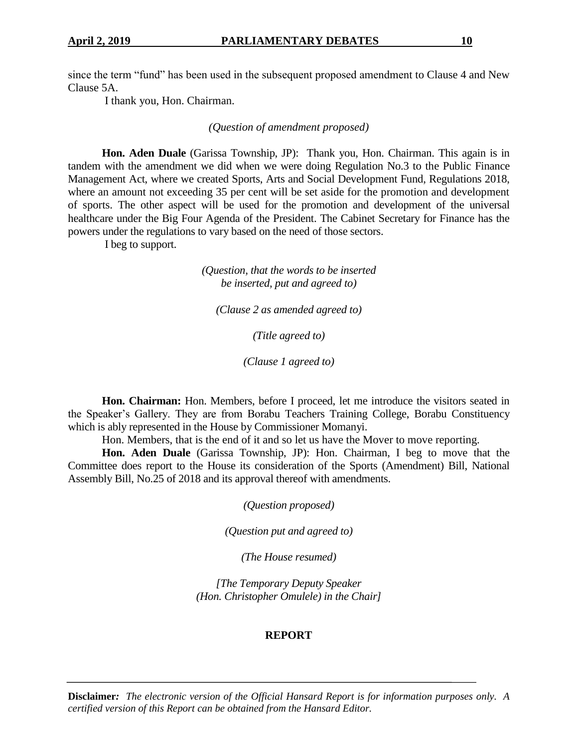since the term "fund" has been used in the subsequent proposed amendment to Clause 4 and New Clause 5A.

I thank you, Hon. Chairman.

*(Question of amendment proposed)*

**Hon. Aden Duale** (Garissa Township, JP): Thank you, Hon. Chairman. This again is in tandem with the amendment we did when we were doing Regulation No.3 to the Public Finance Management Act, where we created Sports, Arts and Social Development Fund, Regulations 2018, where an amount not exceeding 35 per cent will be set aside for the promotion and development of sports. The other aspect will be used for the promotion and development of the universal healthcare under the Big Four Agenda of the President. The Cabinet Secretary for Finance has the powers under the regulations to vary based on the need of those sectors.

I beg to support.

*(Question, that the words to be inserted be inserted, put and agreed to)*

*(Clause 2 as amended agreed to)*

*(Title agreed to)*

*(Clause 1 agreed to)*

**Hon. Chairman:** Hon. Members, before I proceed, let me introduce the visitors seated in the Speaker's Gallery. They are from Borabu Teachers Training College, Borabu Constituency which is ably represented in the House by Commissioner Momanyi.

Hon. Members, that is the end of it and so let us have the Mover to move reporting.

**Hon. Aden Duale** (Garissa Township, JP): Hon. Chairman, I beg to move that the Committee does report to the House its consideration of the Sports (Amendment) Bill, National Assembly Bill, No.25 of 2018 and its approval thereof with amendments.

*(Question proposed)*

*(Question put and agreed to)*

*(The House resumed)*

*[The Temporary Deputy Speaker (Hon. Christopher Omulele) in the Chair]*

#### **REPORT**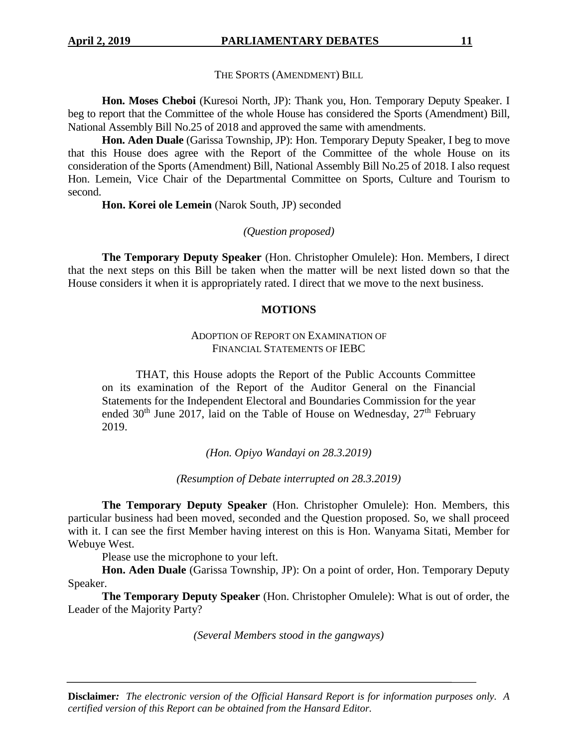THE SPORTS (AMENDMENT) BILL

**Hon. Moses Cheboi** (Kuresoi North, JP): Thank you, Hon. Temporary Deputy Speaker. I beg to report that the Committee of the whole House has considered the Sports (Amendment) Bill, National Assembly Bill No.25 of 2018 and approved the same with amendments.

**Hon. Aden Duale** (Garissa Township, JP): Hon. Temporary Deputy Speaker, I beg to move that this House does agree with the Report of the Committee of the whole House on its consideration of the Sports (Amendment) Bill, National Assembly Bill No.25 of 2018. I also request Hon. Lemein, Vice Chair of the Departmental Committee on Sports, Culture and Tourism to second.

**Hon. Korei ole Lemein** (Narok South, JP) seconded

*(Question proposed)*

**The Temporary Deputy Speaker** (Hon. Christopher Omulele): Hon. Members, I direct that the next steps on this Bill be taken when the matter will be next listed down so that the House considers it when it is appropriately rated. I direct that we move to the next business.

## **MOTIONS**

#### ADOPTION OF REPORT ON EXAMINATION OF FINANCIAL STATEMENTS OF IEBC

THAT, this House adopts the Report of the Public Accounts Committee on its examination of the Report of the Auditor General on the Financial Statements for the Independent Electoral and Boundaries Commission for the year ended  $30<sup>th</sup>$  June 2017, laid on the Table of House on Wednesday,  $27<sup>th</sup>$  February 2019.

*(Hon. Opiyo Wandayi on 28.3.2019)*

*(Resumption of Debate interrupted on 28.3.2019)*

**The Temporary Deputy Speaker** (Hon. Christopher Omulele): Hon. Members, this particular business had been moved, seconded and the Question proposed. So, we shall proceed with it. I can see the first Member having interest on this is Hon. Wanyama Sitati, Member for Webuye West.

Please use the microphone to your left.

**Hon. Aden Duale** (Garissa Township, JP): On a point of order, Hon. Temporary Deputy Speaker.

**The Temporary Deputy Speaker** (Hon. Christopher Omulele): What is out of order, the Leader of the Majority Party?

*(Several Members stood in the gangways)*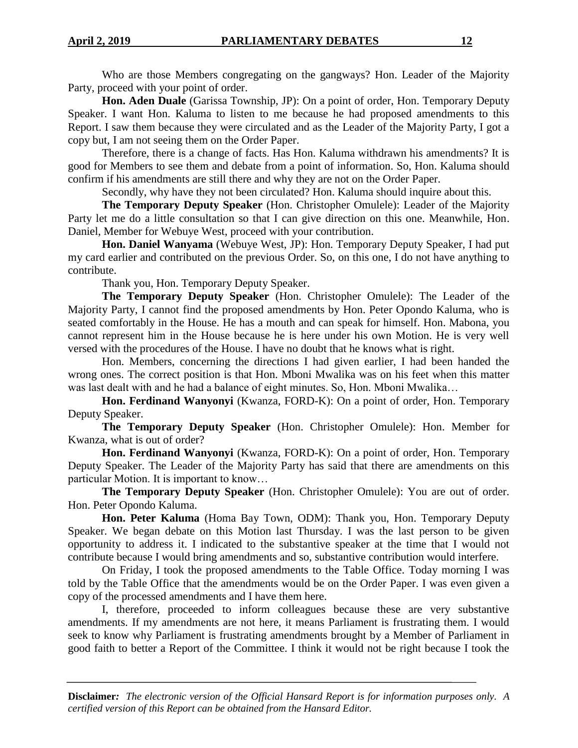**Hon. Aden Duale** (Garissa Township, JP): On a point of order, Hon. Temporary Deputy Speaker. I want Hon. Kaluma to listen to me because he had proposed amendments to this Report. I saw them because they were circulated and as the Leader of the Majority Party, I got a copy but, I am not seeing them on the Order Paper.

Therefore, there is a change of facts. Has Hon. Kaluma withdrawn his amendments? It is good for Members to see them and debate from a point of information. So, Hon. Kaluma should confirm if his amendments are still there and why they are not on the Order Paper.

Secondly, why have they not been circulated? Hon. Kaluma should inquire about this.

**The Temporary Deputy Speaker** (Hon. Christopher Omulele): Leader of the Majority Party let me do a little consultation so that I can give direction on this one. Meanwhile, Hon. Daniel, Member for Webuye West, proceed with your contribution.

**Hon. Daniel Wanyama** (Webuye West, JP): Hon. Temporary Deputy Speaker, I had put my card earlier and contributed on the previous Order. So, on this one, I do not have anything to contribute.

Thank you, Hon. Temporary Deputy Speaker.

**The Temporary Deputy Speaker** (Hon. Christopher Omulele): The Leader of the Majority Party, I cannot find the proposed amendments by Hon. Peter Opondo Kaluma, who is seated comfortably in the House. He has a mouth and can speak for himself. Hon. Mabona, you cannot represent him in the House because he is here under his own Motion. He is very well versed with the procedures of the House. I have no doubt that he knows what is right.

Hon. Members, concerning the directions I had given earlier, I had been handed the wrong ones. The correct position is that Hon. Mboni Mwalika was on his feet when this matter was last dealt with and he had a balance of eight minutes. So, Hon. Mboni Mwalika…

**Hon. Ferdinand Wanyonyi** (Kwanza, FORD-K): On a point of order, Hon. Temporary Deputy Speaker.

**The Temporary Deputy Speaker** (Hon. Christopher Omulele): Hon. Member for Kwanza, what is out of order?

**Hon. Ferdinand Wanyonyi** (Kwanza, FORD-K): On a point of order, Hon. Temporary Deputy Speaker. The Leader of the Majority Party has said that there are amendments on this particular Motion. It is important to know…

**The Temporary Deputy Speaker** (Hon. Christopher Omulele): You are out of order. Hon. Peter Opondo Kaluma.

**Hon. Peter Kaluma** (Homa Bay Town, ODM): Thank you, Hon. Temporary Deputy Speaker. We began debate on this Motion last Thursday. I was the last person to be given opportunity to address it. I indicated to the substantive speaker at the time that I would not contribute because I would bring amendments and so, substantive contribution would interfere.

On Friday, I took the proposed amendments to the Table Office. Today morning I was told by the Table Office that the amendments would be on the Order Paper. I was even given a copy of the processed amendments and I have them here.

I, therefore, proceeded to inform colleagues because these are very substantive amendments. If my amendments are not here, it means Parliament is frustrating them. I would seek to know why Parliament is frustrating amendments brought by a Member of Parliament in good faith to better a Report of the Committee. I think it would not be right because I took the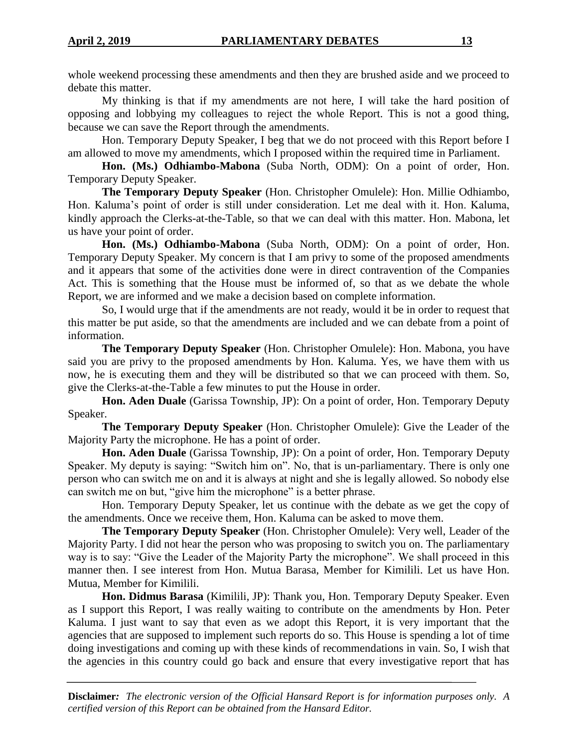whole weekend processing these amendments and then they are brushed aside and we proceed to debate this matter.

My thinking is that if my amendments are not here, I will take the hard position of opposing and lobbying my colleagues to reject the whole Report. This is not a good thing, because we can save the Report through the amendments.

Hon. Temporary Deputy Speaker, I beg that we do not proceed with this Report before I am allowed to move my amendments, which I proposed within the required time in Parliament.

**Hon. (Ms.) Odhiambo-Mabona** (Suba North, ODM): On a point of order, Hon. Temporary Deputy Speaker.

**The Temporary Deputy Speaker** (Hon. Christopher Omulele): Hon. Millie Odhiambo, Hon. Kaluma's point of order is still under consideration. Let me deal with it. Hon. Kaluma, kindly approach the Clerks-at-the-Table, so that we can deal with this matter. Hon. Mabona, let us have your point of order.

**Hon. (Ms.) Odhiambo-Mabona** (Suba North, ODM): On a point of order, Hon. Temporary Deputy Speaker. My concern is that I am privy to some of the proposed amendments and it appears that some of the activities done were in direct contravention of the Companies Act. This is something that the House must be informed of, so that as we debate the whole Report, we are informed and we make a decision based on complete information.

So, I would urge that if the amendments are not ready, would it be in order to request that this matter be put aside, so that the amendments are included and we can debate from a point of information.

**The Temporary Deputy Speaker** (Hon. Christopher Omulele): Hon. Mabona, you have said you are privy to the proposed amendments by Hon. Kaluma. Yes, we have them with us now, he is executing them and they will be distributed so that we can proceed with them. So, give the Clerks-at-the-Table a few minutes to put the House in order.

**Hon. Aden Duale** (Garissa Township, JP): On a point of order, Hon. Temporary Deputy Speaker.

**The Temporary Deputy Speaker** (Hon. Christopher Omulele): Give the Leader of the Majority Party the microphone. He has a point of order.

**Hon. Aden Duale** (Garissa Township, JP): On a point of order, Hon. Temporary Deputy Speaker. My deputy is saying: "Switch him on". No, that is un-parliamentary. There is only one person who can switch me on and it is always at night and she is legally allowed. So nobody else can switch me on but, "give him the microphone" is a better phrase.

Hon. Temporary Deputy Speaker, let us continue with the debate as we get the copy of the amendments. Once we receive them, Hon. Kaluma can be asked to move them.

**The Temporary Deputy Speaker** (Hon. Christopher Omulele): Very well, Leader of the Majority Party. I did not hear the person who was proposing to switch you on. The parliamentary way is to say: "Give the Leader of the Majority Party the microphone". We shall proceed in this manner then. I see interest from Hon. Mutua Barasa, Member for Kimilili. Let us have Hon. Mutua, Member for Kimilili.

**Hon. Didmus Barasa** (Kimilili, JP): Thank you, Hon. Temporary Deputy Speaker. Even as I support this Report, I was really waiting to contribute on the amendments by Hon. Peter Kaluma. I just want to say that even as we adopt this Report, it is very important that the agencies that are supposed to implement such reports do so. This House is spending a lot of time doing investigations and coming up with these kinds of recommendations in vain. So, I wish that the agencies in this country could go back and ensure that every investigative report that has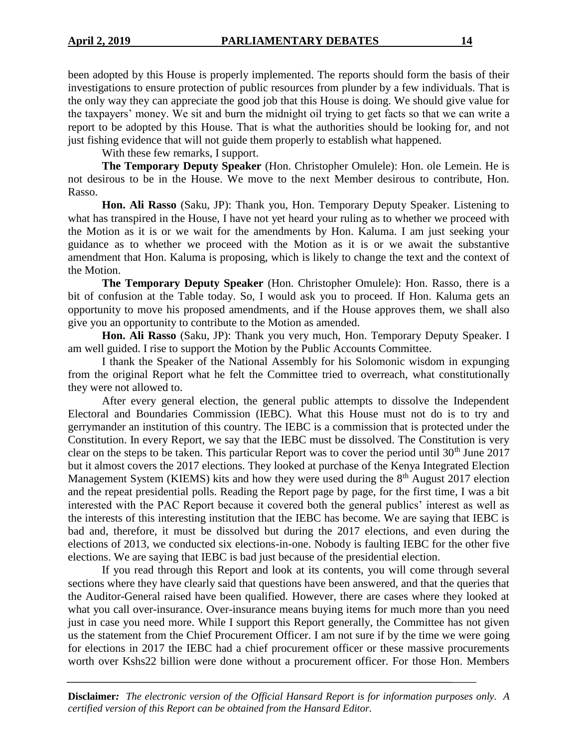been adopted by this House is properly implemented. The reports should form the basis of their investigations to ensure protection of public resources from plunder by a few individuals. That is the only way they can appreciate the good job that this House is doing. We should give value for the taxpayers' money. We sit and burn the midnight oil trying to get facts so that we can write a report to be adopted by this House. That is what the authorities should be looking for, and not just fishing evidence that will not guide them properly to establish what happened.

With these few remarks, I support.

**The Temporary Deputy Speaker** (Hon. Christopher Omulele): Hon. ole Lemein. He is not desirous to be in the House. We move to the next Member desirous to contribute, Hon. Rasso.

**Hon. Ali Rasso** (Saku, JP): Thank you, Hon. Temporary Deputy Speaker. Listening to what has transpired in the House, I have not yet heard your ruling as to whether we proceed with the Motion as it is or we wait for the amendments by Hon. Kaluma. I am just seeking your guidance as to whether we proceed with the Motion as it is or we await the substantive amendment that Hon. Kaluma is proposing, which is likely to change the text and the context of the Motion.

**The Temporary Deputy Speaker** (Hon. Christopher Omulele): Hon. Rasso, there is a bit of confusion at the Table today. So, I would ask you to proceed. If Hon. Kaluma gets an opportunity to move his proposed amendments, and if the House approves them, we shall also give you an opportunity to contribute to the Motion as amended.

**Hon. Ali Rasso** (Saku, JP): Thank you very much, Hon. Temporary Deputy Speaker. I am well guided. I rise to support the Motion by the Public Accounts Committee.

I thank the Speaker of the National Assembly for his Solomonic wisdom in expunging from the original Report what he felt the Committee tried to overreach, what constitutionally they were not allowed to.

After every general election, the general public attempts to dissolve the Independent Electoral and Boundaries Commission (IEBC). What this House must not do is to try and gerrymander an institution of this country. The IEBC is a commission that is protected under the Constitution. In every Report, we say that the IEBC must be dissolved. The Constitution is very clear on the steps to be taken. This particular Report was to cover the period until  $30<sup>th</sup>$  June 2017 but it almost covers the 2017 elections. They looked at purchase of the Kenya Integrated Election Management System (KIEMS) kits and how they were used during the 8<sup>th</sup> August 2017 election and the repeat presidential polls. Reading the Report page by page, for the first time, I was a bit interested with the PAC Report because it covered both the general publics' interest as well as the interests of this interesting institution that the IEBC has become. We are saying that IEBC is bad and, therefore, it must be dissolved but during the 2017 elections, and even during the elections of 2013, we conducted six elections-in-one. Nobody is faulting IEBC for the other five elections. We are saying that IEBC is bad just because of the presidential election.

If you read through this Report and look at its contents, you will come through several sections where they have clearly said that questions have been answered, and that the queries that the Auditor-General raised have been qualified. However, there are cases where they looked at what you call over-insurance. Over-insurance means buying items for much more than you need just in case you need more. While I support this Report generally, the Committee has not given us the statement from the Chief Procurement Officer. I am not sure if by the time we were going for elections in 2017 the IEBC had a chief procurement officer or these massive procurements worth over Kshs22 billion were done without a procurement officer. For those Hon. Members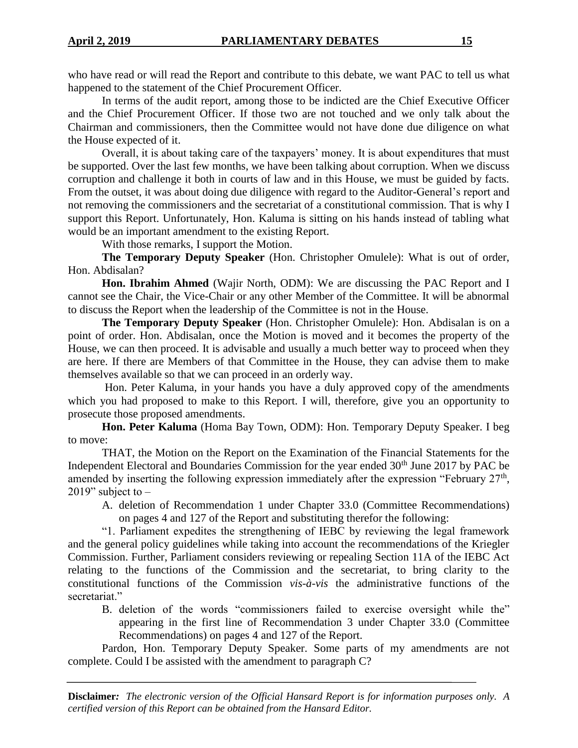who have read or will read the Report and contribute to this debate, we want PAC to tell us what happened to the statement of the Chief Procurement Officer.

In terms of the audit report, among those to be indicted are the Chief Executive Officer and the Chief Procurement Officer. If those two are not touched and we only talk about the Chairman and commissioners, then the Committee would not have done due diligence on what the House expected of it.

Overall, it is about taking care of the taxpayers' money. It is about expenditures that must be supported. Over the last few months, we have been talking about corruption. When we discuss corruption and challenge it both in courts of law and in this House, we must be guided by facts. From the outset, it was about doing due diligence with regard to the Auditor-General's report and not removing the commissioners and the secretariat of a constitutional commission. That is why I support this Report. Unfortunately, Hon. Kaluma is sitting on his hands instead of tabling what would be an important amendment to the existing Report.

With those remarks, I support the Motion.

**The Temporary Deputy Speaker** (Hon. Christopher Omulele): What is out of order, Hon. Abdisalan?

**Hon. Ibrahim Ahmed** (Wajir North, ODM): We are discussing the PAC Report and I cannot see the Chair, the Vice-Chair or any other Member of the Committee. It will be abnormal to discuss the Report when the leadership of the Committee is not in the House.

**The Temporary Deputy Speaker** (Hon. Christopher Omulele): Hon. Abdisalan is on a point of order. Hon. Abdisalan, once the Motion is moved and it becomes the property of the House, we can then proceed. It is advisable and usually a much better way to proceed when they are here. If there are Members of that Committee in the House, they can advise them to make themselves available so that we can proceed in an orderly way.

Hon. Peter Kaluma, in your hands you have a duly approved copy of the amendments which you had proposed to make to this Report. I will, therefore, give you an opportunity to prosecute those proposed amendments.

**Hon. Peter Kaluma** (Homa Bay Town, ODM): Hon. Temporary Deputy Speaker. I beg to move:

THAT, the Motion on the Report on the Examination of the Financial Statements for the Independent Electoral and Boundaries Commission for the year ended 30<sup>th</sup> June 2017 by PAC be amended by inserting the following expression immediately after the expression "February  $27<sup>th</sup>$ , 2019" subject to  $-$ 

A. deletion of Recommendation 1 under Chapter 33.0 (Committee Recommendations) on pages 4 and 127 of the Report and substituting therefor the following:

"1. Parliament expedites the strengthening of IEBC by reviewing the legal framework and the general policy guidelines while taking into account the recommendations of the Kriegler Commission. Further, Parliament considers reviewing or repealing Section 11A of the IEBC Act relating to the functions of the Commission and the secretariat, to bring clarity to the constitutional functions of the Commission *vis-à-vis* the administrative functions of the secretariat."

B. deletion of the words "commissioners failed to exercise oversight while the" appearing in the first line of Recommendation 3 under Chapter 33.0 (Committee Recommendations) on pages 4 and 127 of the Report.

Pardon, Hon. Temporary Deputy Speaker. Some parts of my amendments are not complete. Could I be assisted with the amendment to paragraph C?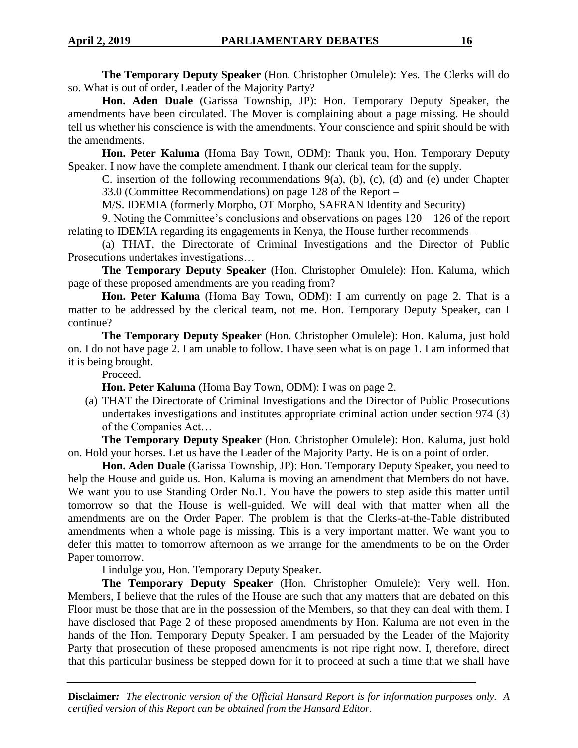**The Temporary Deputy Speaker** (Hon. Christopher Omulele): Yes. The Clerks will do so. What is out of order, Leader of the Majority Party?

**Hon. Aden Duale** (Garissa Township, JP): Hon. Temporary Deputy Speaker, the amendments have been circulated. The Mover is complaining about a page missing. He should tell us whether his conscience is with the amendments. Your conscience and spirit should be with the amendments.

**Hon. Peter Kaluma** (Homa Bay Town, ODM): Thank you, Hon. Temporary Deputy Speaker. I now have the complete amendment. I thank our clerical team for the supply.

C. insertion of the following recommendations  $9(a)$ , (b), (c), (d) and (e) under Chapter 33.0 (Committee Recommendations) on page 128 of the Report –

M/S. IDEMIA (formerly Morpho, OT Morpho, SAFRAN Identity and Security)

9. Noting the Committee's conclusions and observations on pages 120 – 126 of the report relating to IDEMIA regarding its engagements in Kenya, the House further recommends –

(a) THAT, the Directorate of Criminal Investigations and the Director of Public Prosecutions undertakes investigations…

**The Temporary Deputy Speaker** (Hon. Christopher Omulele): Hon. Kaluma, which page of these proposed amendments are you reading from?

**Hon. Peter Kaluma** (Homa Bay Town, ODM): I am currently on page 2. That is a matter to be addressed by the clerical team, not me. Hon. Temporary Deputy Speaker, can I continue?

**The Temporary Deputy Speaker** (Hon. Christopher Omulele): Hon. Kaluma, just hold on. I do not have page 2. I am unable to follow. I have seen what is on page 1. I am informed that it is being brought.

Proceed.

**Hon. Peter Kaluma** (Homa Bay Town, ODM): I was on page 2.

(a) THAT the Directorate of Criminal Investigations and the Director of Public Prosecutions undertakes investigations and institutes appropriate criminal action under section 974 (3) of the Companies Act…

**The Temporary Deputy Speaker** (Hon. Christopher Omulele): Hon. Kaluma, just hold on. Hold your horses. Let us have the Leader of the Majority Party. He is on a point of order.

**Hon. Aden Duale** (Garissa Township, JP): Hon. Temporary Deputy Speaker, you need to help the House and guide us. Hon. Kaluma is moving an amendment that Members do not have. We want you to use Standing Order No.1. You have the powers to step aside this matter until tomorrow so that the House is well-guided. We will deal with that matter when all the amendments are on the Order Paper. The problem is that the Clerks-at-the-Table distributed amendments when a whole page is missing. This is a very important matter. We want you to defer this matter to tomorrow afternoon as we arrange for the amendments to be on the Order Paper tomorrow.

I indulge you, Hon. Temporary Deputy Speaker.

**The Temporary Deputy Speaker** (Hon. Christopher Omulele): Very well. Hon. Members, I believe that the rules of the House are such that any matters that are debated on this Floor must be those that are in the possession of the Members, so that they can deal with them. I have disclosed that Page 2 of these proposed amendments by Hon. Kaluma are not even in the hands of the Hon. Temporary Deputy Speaker. I am persuaded by the Leader of the Majority Party that prosecution of these proposed amendments is not ripe right now. I, therefore, direct that this particular business be stepped down for it to proceed at such a time that we shall have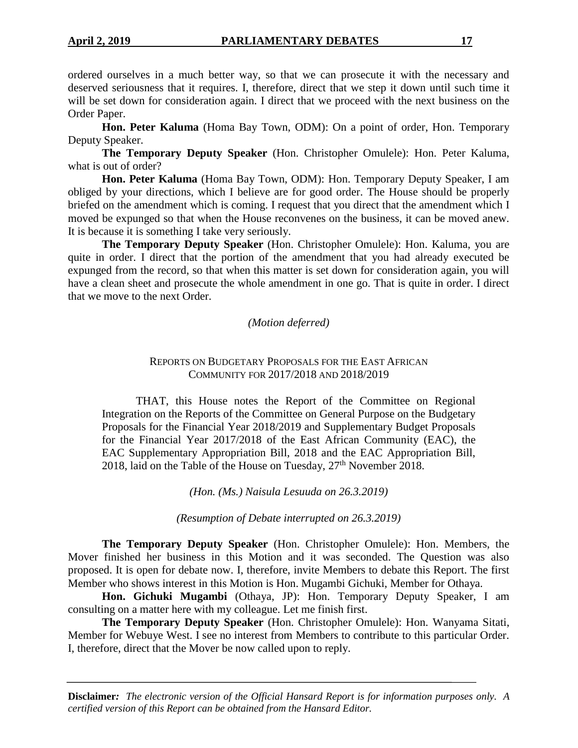ordered ourselves in a much better way, so that we can prosecute it with the necessary and deserved seriousness that it requires. I, therefore, direct that we step it down until such time it will be set down for consideration again. I direct that we proceed with the next business on the Order Paper.

**Hon. Peter Kaluma** (Homa Bay Town, ODM): On a point of order, Hon. Temporary Deputy Speaker.

**The Temporary Deputy Speaker** (Hon. Christopher Omulele): Hon. Peter Kaluma, what is out of order?

**Hon. Peter Kaluma** (Homa Bay Town, ODM): Hon. Temporary Deputy Speaker, I am obliged by your directions, which I believe are for good order. The House should be properly briefed on the amendment which is coming. I request that you direct that the amendment which I moved be expunged so that when the House reconvenes on the business, it can be moved anew. It is because it is something I take very seriously.

**The Temporary Deputy Speaker** (Hon. Christopher Omulele): Hon. Kaluma, you are quite in order. I direct that the portion of the amendment that you had already executed be expunged from the record, so that when this matter is set down for consideration again, you will have a clean sheet and prosecute the whole amendment in one go. That is quite in order. I direct that we move to the next Order.

#### *(Motion deferred)*

## REPORTS ON BUDGETARY PROPOSALS FOR THE EAST AFRICAN COMMUNITY FOR 2017/2018 AND 2018/2019

THAT, this House notes the Report of the Committee on Regional Integration on the Reports of the Committee on General Purpose on the Budgetary Proposals for the Financial Year 2018/2019 and Supplementary Budget Proposals for the Financial Year 2017/2018 of the East African Community (EAC), the EAC Supplementary Appropriation Bill, 2018 and the EAC Appropriation Bill, 2018, laid on the Table of the House on Tuesday,  $27<sup>th</sup>$  November 2018.

*(Hon. (Ms.) Naisula Lesuuda on 26.3.2019)*

*(Resumption of Debate interrupted on 26.3.2019)*

**The Temporary Deputy Speaker** (Hon. Christopher Omulele): Hon. Members, the Mover finished her business in this Motion and it was seconded. The Question was also proposed. It is open for debate now. I, therefore, invite Members to debate this Report. The first Member who shows interest in this Motion is Hon. Mugambi Gichuki, Member for Othaya.

**Hon. Gichuki Mugambi** (Othaya, JP): Hon. Temporary Deputy Speaker, I am consulting on a matter here with my colleague. Let me finish first.

**The Temporary Deputy Speaker** (Hon. Christopher Omulele): Hon. Wanyama Sitati, Member for Webuye West. I see no interest from Members to contribute to this particular Order. I, therefore, direct that the Mover be now called upon to reply.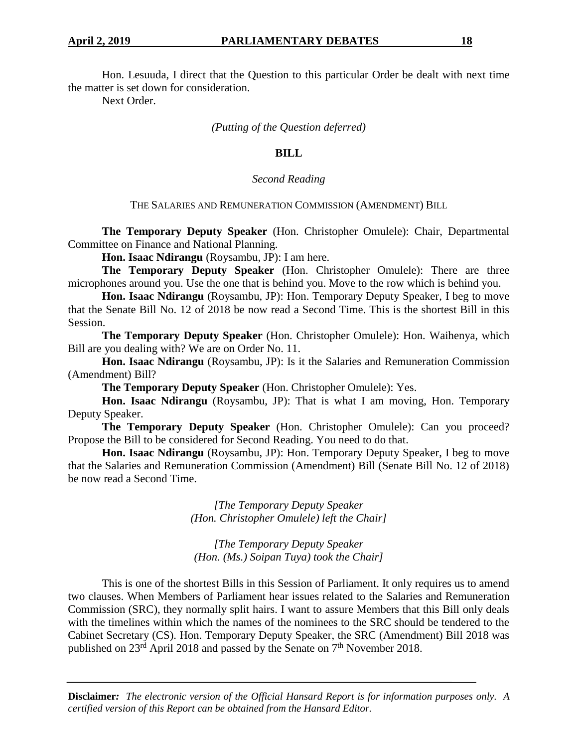Hon. Lesuuda, I direct that the Question to this particular Order be dealt with next time the matter is set down for consideration.

Next Order.

*(Putting of the Question deferred)*

#### **BILL**

#### *Second Reading*

#### THE SALARIES AND REMUNERATION COMMISSION (AMENDMENT) BILL

**The Temporary Deputy Speaker** (Hon. Christopher Omulele): Chair, Departmental Committee on Finance and National Planning.

**Hon. Isaac Ndirangu** (Roysambu, JP): I am here.

**The Temporary Deputy Speaker** (Hon. Christopher Omulele): There are three microphones around you. Use the one that is behind you. Move to the row which is behind you.

**Hon. Isaac Ndirangu** (Roysambu, JP): Hon. Temporary Deputy Speaker, I beg to move that the Senate Bill No. 12 of 2018 be now read a Second Time. This is the shortest Bill in this Session.

**The Temporary Deputy Speaker** (Hon. Christopher Omulele): Hon. Waihenya, which Bill are you dealing with? We are on Order No. 11.

**Hon. Isaac Ndirangu** (Roysambu, JP): Is it the Salaries and Remuneration Commission (Amendment) Bill?

**The Temporary Deputy Speaker** (Hon. Christopher Omulele): Yes.

**Hon. Isaac Ndirangu** (Roysambu, JP): That is what I am moving, Hon. Temporary Deputy Speaker.

**The Temporary Deputy Speaker** (Hon. Christopher Omulele): Can you proceed? Propose the Bill to be considered for Second Reading. You need to do that.

**Hon. Isaac Ndirangu** (Roysambu, JP): Hon. Temporary Deputy Speaker, I beg to move that the Salaries and Remuneration Commission (Amendment) Bill (Senate Bill No. 12 of 2018) be now read a Second Time.

> *[The Temporary Deputy Speaker (Hon. Christopher Omulele) left the Chair]*

*[The Temporary Deputy Speaker (Hon. (Ms.) Soipan Tuya) took the Chair]*

This is one of the shortest Bills in this Session of Parliament. It only requires us to amend two clauses. When Members of Parliament hear issues related to the Salaries and Remuneration Commission (SRC), they normally split hairs. I want to assure Members that this Bill only deals with the timelines within which the names of the nominees to the SRC should be tendered to the Cabinet Secretary (CS). Hon. Temporary Deputy Speaker, the SRC (Amendment) Bill 2018 was published on 23<sup>rd</sup> April 2018 and passed by the Senate on 7<sup>th</sup> November 2018.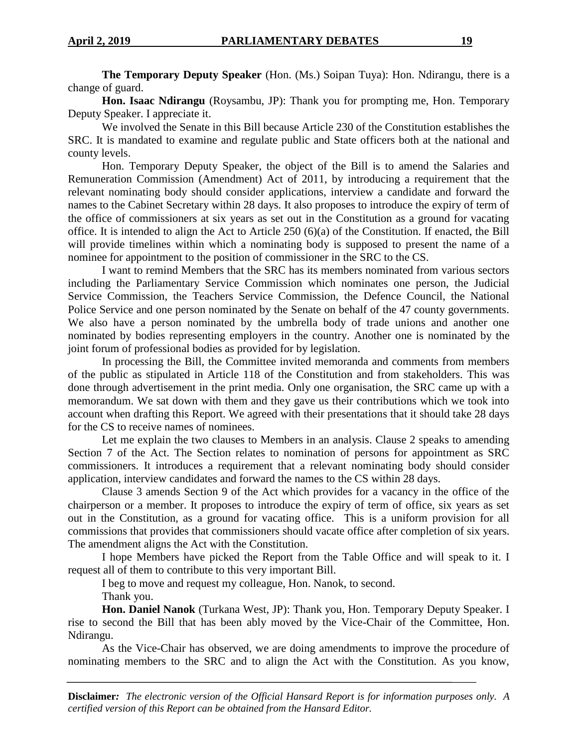**The Temporary Deputy Speaker** (Hon. (Ms.) Soipan Tuya): Hon. Ndirangu, there is a change of guard.

**Hon. Isaac Ndirangu** (Roysambu, JP): Thank you for prompting me, Hon. Temporary Deputy Speaker. I appreciate it.

We involved the Senate in this Bill because Article 230 of the Constitution establishes the SRC. It is mandated to examine and regulate public and State officers both at the national and county levels.

Hon. Temporary Deputy Speaker, the object of the Bill is to amend the Salaries and Remuneration Commission (Amendment) Act of 2011, by introducing a requirement that the relevant nominating body should consider applications, interview a candidate and forward the names to the Cabinet Secretary within 28 days. It also proposes to introduce the expiry of term of the office of commissioners at six years as set out in the Constitution as a ground for vacating office. It is intended to align the Act to Article 250 (6)(a) of the Constitution. If enacted, the Bill will provide timelines within which a nominating body is supposed to present the name of a nominee for appointment to the position of commissioner in the SRC to the CS.

I want to remind Members that the SRC has its members nominated from various sectors including the Parliamentary Service Commission which nominates one person, the Judicial Service Commission, the Teachers Service Commission, the Defence Council, the National Police Service and one person nominated by the Senate on behalf of the 47 county governments. We also have a person nominated by the umbrella body of trade unions and another one nominated by bodies representing employers in the country. Another one is nominated by the joint forum of professional bodies as provided for by legislation.

In processing the Bill, the Committee invited memoranda and comments from members of the public as stipulated in Article 118 of the Constitution and from stakeholders. This was done through advertisement in the print media. Only one organisation, the SRC came up with a memorandum. We sat down with them and they gave us their contributions which we took into account when drafting this Report. We agreed with their presentations that it should take 28 days for the CS to receive names of nominees.

Let me explain the two clauses to Members in an analysis. Clause 2 speaks to amending Section 7 of the Act. The Section relates to nomination of persons for appointment as SRC commissioners. It introduces a requirement that a relevant nominating body should consider application, interview candidates and forward the names to the CS within 28 days.

Clause 3 amends Section 9 of the Act which provides for a vacancy in the office of the chairperson or a member. It proposes to introduce the expiry of term of office, six years as set out in the Constitution, as a ground for vacating office. This is a uniform provision for all commissions that provides that commissioners should vacate office after completion of six years. The amendment aligns the Act with the Constitution.

I hope Members have picked the Report from the Table Office and will speak to it. I request all of them to contribute to this very important Bill.

I beg to move and request my colleague, Hon. Nanok, to second.

Thank you.

**Hon. Daniel Nanok** (Turkana West, JP): Thank you, Hon. Temporary Deputy Speaker. I rise to second the Bill that has been ably moved by the Vice-Chair of the Committee, Hon. Ndirangu.

As the Vice-Chair has observed, we are doing amendments to improve the procedure of nominating members to the SRC and to align the Act with the Constitution. As you know,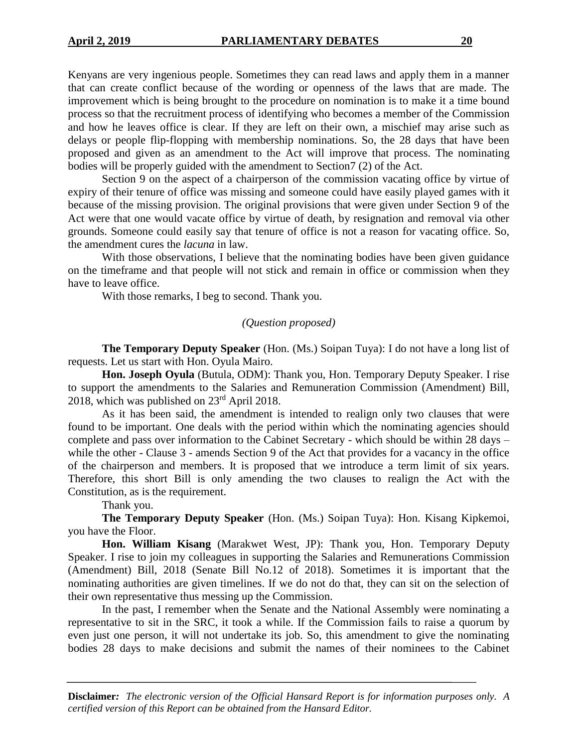Kenyans are very ingenious people. Sometimes they can read laws and apply them in a manner that can create conflict because of the wording or openness of the laws that are made. The improvement which is being brought to the procedure on nomination is to make it a time bound process so that the recruitment process of identifying who becomes a member of the Commission and how he leaves office is clear. If they are left on their own, a mischief may arise such as delays or people flip-flopping with membership nominations. So, the 28 days that have been proposed and given as an amendment to the Act will improve that process. The nominating bodies will be properly guided with the amendment to Section7 (2) of the Act.

Section 9 on the aspect of a chairperson of the commission vacating office by virtue of expiry of their tenure of office was missing and someone could have easily played games with it because of the missing provision. The original provisions that were given under Section 9 of the Act were that one would vacate office by virtue of death, by resignation and removal via other grounds. Someone could easily say that tenure of office is not a reason for vacating office. So, the amendment cures the *lacuna* in law.

With those observations, I believe that the nominating bodies have been given guidance on the timeframe and that people will not stick and remain in office or commission when they have to leave office.

With those remarks, I beg to second. Thank you.

#### *(Question proposed)*

**The Temporary Deputy Speaker** (Hon. (Ms.) Soipan Tuya): I do not have a long list of requests. Let us start with Hon. Oyula Mairo.

**Hon. Joseph Oyula** (Butula, ODM): Thank you, Hon. Temporary Deputy Speaker. I rise to support the amendments to the Salaries and Remuneration Commission (Amendment) Bill, 2018, which was published on 23rd April 2018.

As it has been said, the amendment is intended to realign only two clauses that were found to be important. One deals with the period within which the nominating agencies should complete and pass over information to the Cabinet Secretary - which should be within 28 days – while the other - Clause 3 - amends Section 9 of the Act that provides for a vacancy in the office of the chairperson and members. It is proposed that we introduce a term limit of six years. Therefore, this short Bill is only amending the two clauses to realign the Act with the Constitution, as is the requirement.

Thank you.

**The Temporary Deputy Speaker** (Hon. (Ms.) Soipan Tuya): Hon. Kisang Kipkemoi, you have the Floor.

**Hon. William Kisang** (Marakwet West, JP): Thank you, Hon. Temporary Deputy Speaker. I rise to join my colleagues in supporting the Salaries and Remunerations Commission (Amendment) Bill, 2018 (Senate Bill No.12 of 2018). Sometimes it is important that the nominating authorities are given timelines. If we do not do that, they can sit on the selection of their own representative thus messing up the Commission.

In the past, I remember when the Senate and the National Assembly were nominating a representative to sit in the SRC, it took a while. If the Commission fails to raise a quorum by even just one person, it will not undertake its job. So, this amendment to give the nominating bodies 28 days to make decisions and submit the names of their nominees to the Cabinet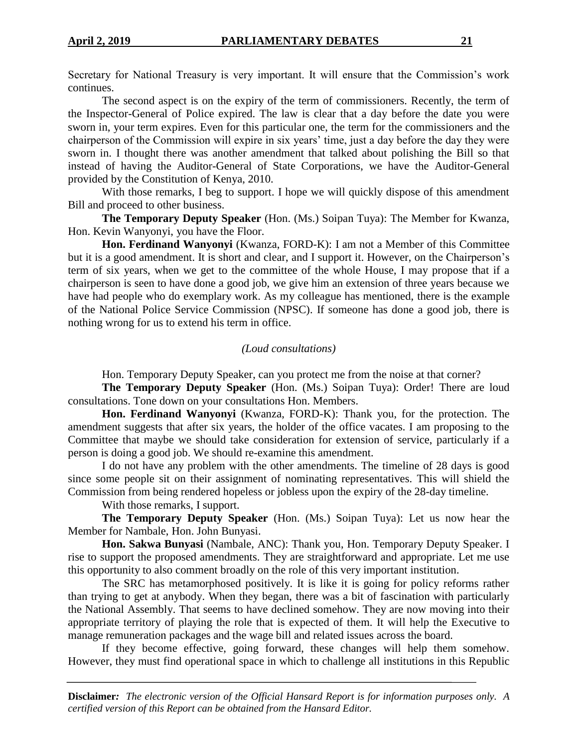Secretary for National Treasury is very important. It will ensure that the Commission's work continues.

The second aspect is on the expiry of the term of commissioners. Recently, the term of the Inspector-General of Police expired. The law is clear that a day before the date you were sworn in, your term expires. Even for this particular one, the term for the commissioners and the chairperson of the Commission will expire in six years' time, just a day before the day they were sworn in. I thought there was another amendment that talked about polishing the Bill so that instead of having the Auditor-General of State Corporations, we have the Auditor-General provided by the Constitution of Kenya, 2010.

With those remarks, I beg to support. I hope we will quickly dispose of this amendment Bill and proceed to other business.

**The Temporary Deputy Speaker** (Hon. (Ms.) Soipan Tuya): The Member for Kwanza, Hon. Kevin Wanyonyi, you have the Floor.

**Hon. Ferdinand Wanyonyi** (Kwanza, FORD-K): I am not a Member of this Committee but it is a good amendment. It is short and clear, and I support it. However, on the Chairperson's term of six years, when we get to the committee of the whole House, I may propose that if a chairperson is seen to have done a good job, we give him an extension of three years because we have had people who do exemplary work. As my colleague has mentioned, there is the example of the National Police Service Commission (NPSC). If someone has done a good job, there is nothing wrong for us to extend his term in office.

## *(Loud consultations)*

Hon. Temporary Deputy Speaker, can you protect me from the noise at that corner?

**The Temporary Deputy Speaker** (Hon. (Ms.) Soipan Tuya): Order! There are loud consultations. Tone down on your consultations Hon. Members.

**Hon. Ferdinand Wanyonyi** (Kwanza, FORD-K): Thank you, for the protection. The amendment suggests that after six years, the holder of the office vacates. I am proposing to the Committee that maybe we should take consideration for extension of service, particularly if a person is doing a good job. We should re-examine this amendment.

I do not have any problem with the other amendments. The timeline of 28 days is good since some people sit on their assignment of nominating representatives. This will shield the Commission from being rendered hopeless or jobless upon the expiry of the 28-day timeline.

With those remarks, I support.

**The Temporary Deputy Speaker** (Hon. (Ms.) Soipan Tuya): Let us now hear the Member for Nambale, Hon. John Bunyasi.

**Hon. Sakwa Bunyasi** (Nambale, ANC): Thank you, Hon. Temporary Deputy Speaker. I rise to support the proposed amendments. They are straightforward and appropriate. Let me use this opportunity to also comment broadly on the role of this very important institution.

The SRC has metamorphosed positively. It is like it is going for policy reforms rather than trying to get at anybody. When they began, there was a bit of fascination with particularly the National Assembly. That seems to have declined somehow. They are now moving into their appropriate territory of playing the role that is expected of them. It will help the Executive to manage remuneration packages and the wage bill and related issues across the board.

If they become effective, going forward, these changes will help them somehow. However, they must find operational space in which to challenge all institutions in this Republic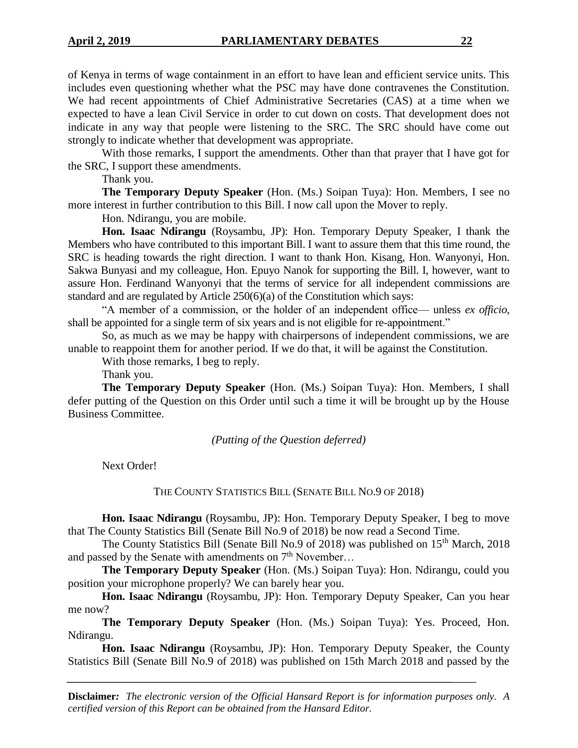of Kenya in terms of wage containment in an effort to have lean and efficient service units. This includes even questioning whether what the PSC may have done contravenes the Constitution. We had recent appointments of Chief Administrative Secretaries (CAS) at a time when we expected to have a lean Civil Service in order to cut down on costs. That development does not indicate in any way that people were listening to the SRC. The SRC should have come out strongly to indicate whether that development was appropriate.

With those remarks, I support the amendments. Other than that prayer that I have got for the SRC, I support these amendments.

Thank you.

**The Temporary Deputy Speaker** (Hon. (Ms.) Soipan Tuya): Hon. Members, I see no more interest in further contribution to this Bill. I now call upon the Mover to reply.

Hon. Ndirangu, you are mobile.

**Hon. Isaac Ndirangu** (Roysambu, JP): Hon. Temporary Deputy Speaker, I thank the Members who have contributed to this important Bill. I want to assure them that this time round, the SRC is heading towards the right direction. I want to thank Hon. Kisang, Hon. Wanyonyi, Hon. Sakwa Bunyasi and my colleague, Hon. Epuyo Nanok for supporting the Bill. I, however, want to assure Hon. Ferdinand Wanyonyi that the terms of service for all independent commissions are standard and are regulated by Article 250(6)(a) of the Constitution which says:

"A member of a commission, or the holder of an independent office— unless *ex officio*, shall be appointed for a single term of six years and is not eligible for re-appointment."

So, as much as we may be happy with chairpersons of independent commissions, we are unable to reappoint them for another period. If we do that, it will be against the Constitution.

With those remarks, I beg to reply.

Thank you.

**The Temporary Deputy Speaker** (Hon. (Ms.) Soipan Tuya): Hon. Members, I shall defer putting of the Question on this Order until such a time it will be brought up by the House Business Committee.

#### *(Putting of the Question deferred)*

Next Order!

THE COUNTY STATISTICS BILL (SENATE BILL NO.9 OF 2018)

**Hon. Isaac Ndirangu** (Roysambu, JP): Hon. Temporary Deputy Speaker, I beg to move that The County Statistics Bill (Senate Bill No.9 of 2018) be now read a Second Time.

The County Statistics Bill (Senate Bill No.9 of 2018) was published on 15th March, 2018 and passed by the Senate with amendments on  $7<sup>th</sup>$  November...

**The Temporary Deputy Speaker** (Hon. (Ms.) Soipan Tuya): Hon. Ndirangu, could you position your microphone properly? We can barely hear you.

**Hon. Isaac Ndirangu** (Roysambu, JP): Hon. Temporary Deputy Speaker, Can you hear me now?

**The Temporary Deputy Speaker** (Hon. (Ms.) Soipan Tuya): Yes. Proceed, Hon. Ndirangu.

**Hon. Isaac Ndirangu** (Roysambu, JP): Hon. Temporary Deputy Speaker, the County Statistics Bill (Senate Bill No.9 of 2018) was published on 15th March 2018 and passed by the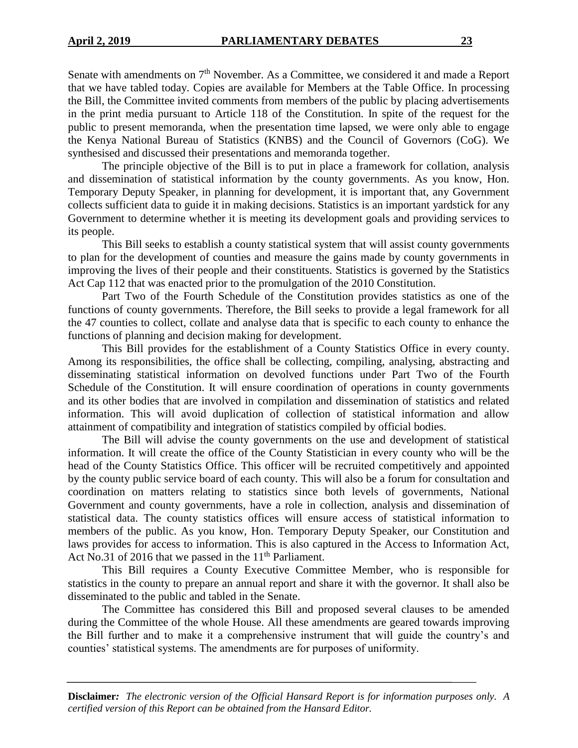Senate with amendments on 7<sup>th</sup> November. As a Committee, we considered it and made a Report that we have tabled today. Copies are available for Members at the Table Office. In processing the Bill, the Committee invited comments from members of the public by placing advertisements in the print media pursuant to Article 118 of the Constitution. In spite of the request for the public to present memoranda, when the presentation time lapsed, we were only able to engage the Kenya National Bureau of Statistics (KNBS) and the Council of Governors (CoG). We synthesised and discussed their presentations and memoranda together.

The principle objective of the Bill is to put in place a framework for collation, analysis and dissemination of statistical information by the county governments. As you know, Hon. Temporary Deputy Speaker, in planning for development, it is important that, any Government collects sufficient data to guide it in making decisions. Statistics is an important yardstick for any Government to determine whether it is meeting its development goals and providing services to its people.

This Bill seeks to establish a county statistical system that will assist county governments to plan for the development of counties and measure the gains made by county governments in improving the lives of their people and their constituents. Statistics is governed by the Statistics Act Cap 112 that was enacted prior to the promulgation of the 2010 Constitution.

Part Two of the Fourth Schedule of the Constitution provides statistics as one of the functions of county governments. Therefore, the Bill seeks to provide a legal framework for all the 47 counties to collect, collate and analyse data that is specific to each county to enhance the functions of planning and decision making for development.

This Bill provides for the establishment of a County Statistics Office in every county. Among its responsibilities, the office shall be collecting, compiling, analysing, abstracting and disseminating statistical information on devolved functions under Part Two of the Fourth Schedule of the Constitution. It will ensure coordination of operations in county governments and its other bodies that are involved in compilation and dissemination of statistics and related information. This will avoid duplication of collection of statistical information and allow attainment of compatibility and integration of statistics compiled by official bodies.

The Bill will advise the county governments on the use and development of statistical information. It will create the office of the County Statistician in every county who will be the head of the County Statistics Office. This officer will be recruited competitively and appointed by the county public service board of each county. This will also be a forum for consultation and coordination on matters relating to statistics since both levels of governments, National Government and county governments, have a role in collection, analysis and dissemination of statistical data. The county statistics offices will ensure access of statistical information to members of the public. As you know, Hon. Temporary Deputy Speaker, our Constitution and laws provides for access to information. This is also captured in the Access to Information Act, Act No.31 of 2016 that we passed in the  $11<sup>th</sup>$  Parliament.

This Bill requires a County Executive Committee Member, who is responsible for statistics in the county to prepare an annual report and share it with the governor. It shall also be disseminated to the public and tabled in the Senate.

The Committee has considered this Bill and proposed several clauses to be amended during the Committee of the whole House. All these amendments are geared towards improving the Bill further and to make it a comprehensive instrument that will guide the country's and counties' statistical systems. The amendments are for purposes of uniformity.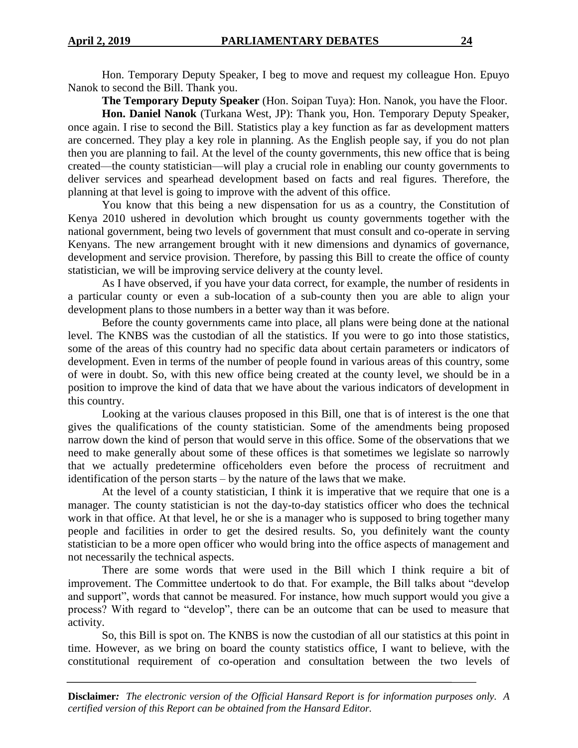Hon. Temporary Deputy Speaker, I beg to move and request my colleague Hon. Epuyo Nanok to second the Bill. Thank you.

**The Temporary Deputy Speaker** (Hon. Soipan Tuya): Hon. Nanok, you have the Floor.

**Hon. Daniel Nanok** (Turkana West, JP): Thank you, Hon. Temporary Deputy Speaker, once again. I rise to second the Bill. Statistics play a key function as far as development matters are concerned. They play a key role in planning. As the English people say, if you do not plan then you are planning to fail. At the level of the county governments, this new office that is being created—the county statistician—will play a crucial role in enabling our county governments to deliver services and spearhead development based on facts and real figures. Therefore, the planning at that level is going to improve with the advent of this office.

You know that this being a new dispensation for us as a country, the Constitution of Kenya 2010 ushered in devolution which brought us county governments together with the national government, being two levels of government that must consult and co-operate in serving Kenyans. The new arrangement brought with it new dimensions and dynamics of governance, development and service provision. Therefore, by passing this Bill to create the office of county statistician, we will be improving service delivery at the county level.

As I have observed, if you have your data correct, for example, the number of residents in a particular county or even a sub-location of a sub-county then you are able to align your development plans to those numbers in a better way than it was before.

Before the county governments came into place, all plans were being done at the national level. The KNBS was the custodian of all the statistics. If you were to go into those statistics, some of the areas of this country had no specific data about certain parameters or indicators of development. Even in terms of the number of people found in various areas of this country, some of were in doubt. So, with this new office being created at the county level, we should be in a position to improve the kind of data that we have about the various indicators of development in this country.

Looking at the various clauses proposed in this Bill, one that is of interest is the one that gives the qualifications of the county statistician. Some of the amendments being proposed narrow down the kind of person that would serve in this office. Some of the observations that we need to make generally about some of these offices is that sometimes we legislate so narrowly that we actually predetermine officeholders even before the process of recruitment and identification of the person starts – by the nature of the laws that we make.

At the level of a county statistician, I think it is imperative that we require that one is a manager. The county statistician is not the day-to-day statistics officer who does the technical work in that office. At that level, he or she is a manager who is supposed to bring together many people and facilities in order to get the desired results. So, you definitely want the county statistician to be a more open officer who would bring into the office aspects of management and not necessarily the technical aspects.

There are some words that were used in the Bill which I think require a bit of improvement. The Committee undertook to do that. For example, the Bill talks about "develop and support", words that cannot be measured. For instance, how much support would you give a process? With regard to "develop", there can be an outcome that can be used to measure that activity.

So, this Bill is spot on. The KNBS is now the custodian of all our statistics at this point in time. However, as we bring on board the county statistics office, I want to believe, with the constitutional requirement of co-operation and consultation between the two levels of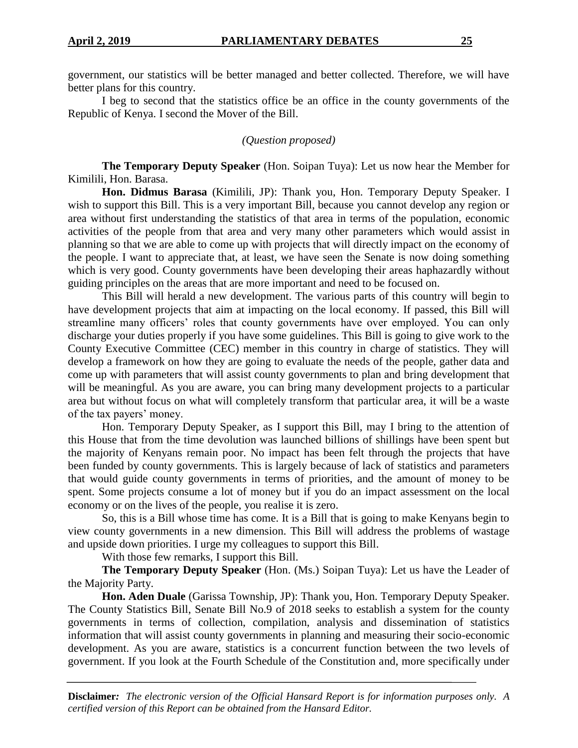government, our statistics will be better managed and better collected. Therefore, we will have better plans for this country.

I beg to second that the statistics office be an office in the county governments of the Republic of Kenya. I second the Mover of the Bill.

#### *(Question proposed)*

**The Temporary Deputy Speaker** (Hon. Soipan Tuya): Let us now hear the Member for Kimilili, Hon. Barasa.

**Hon. Didmus Barasa** (Kimilili, JP): Thank you, Hon. Temporary Deputy Speaker. I wish to support this Bill. This is a very important Bill, because you cannot develop any region or area without first understanding the statistics of that area in terms of the population, economic activities of the people from that area and very many other parameters which would assist in planning so that we are able to come up with projects that will directly impact on the economy of the people. I want to appreciate that, at least, we have seen the Senate is now doing something which is very good. County governments have been developing their areas haphazardly without guiding principles on the areas that are more important and need to be focused on.

This Bill will herald a new development. The various parts of this country will begin to have development projects that aim at impacting on the local economy. If passed, this Bill will streamline many officers' roles that county governments have over employed. You can only discharge your duties properly if you have some guidelines. This Bill is going to give work to the County Executive Committee (CEC) member in this country in charge of statistics. They will develop a framework on how they are going to evaluate the needs of the people, gather data and come up with parameters that will assist county governments to plan and bring development that will be meaningful. As you are aware, you can bring many development projects to a particular area but without focus on what will completely transform that particular area, it will be a waste of the tax payers' money.

Hon. Temporary Deputy Speaker, as I support this Bill, may I bring to the attention of this House that from the time devolution was launched billions of shillings have been spent but the majority of Kenyans remain poor. No impact has been felt through the projects that have been funded by county governments. This is largely because of lack of statistics and parameters that would guide county governments in terms of priorities, and the amount of money to be spent. Some projects consume a lot of money but if you do an impact assessment on the local economy or on the lives of the people, you realise it is zero.

So, this is a Bill whose time has come. It is a Bill that is going to make Kenyans begin to view county governments in a new dimension. This Bill will address the problems of wastage and upside down priorities. I urge my colleagues to support this Bill.

With those few remarks, I support this Bill.

**The Temporary Deputy Speaker** (Hon. (Ms.) Soipan Tuya): Let us have the Leader of the Majority Party.

**Hon. Aden Duale** (Garissa Township, JP): Thank you, Hon. Temporary Deputy Speaker. The County Statistics Bill, Senate Bill No.9 of 2018 seeks to establish a system for the county governments in terms of collection, compilation, analysis and dissemination of statistics information that will assist county governments in planning and measuring their socio-economic development. As you are aware, statistics is a concurrent function between the two levels of government. If you look at the Fourth Schedule of the Constitution and, more specifically under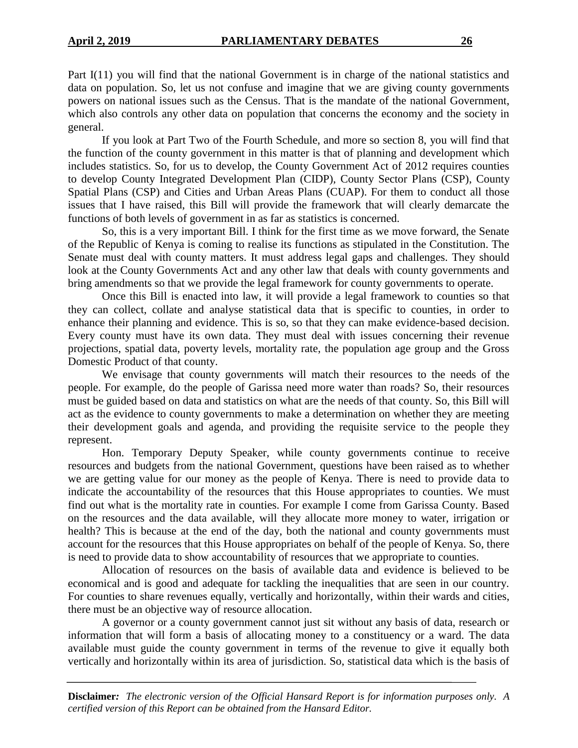Part I(11) you will find that the national Government is in charge of the national statistics and data on population. So, let us not confuse and imagine that we are giving county governments powers on national issues such as the Census. That is the mandate of the national Government, which also controls any other data on population that concerns the economy and the society in general.

If you look at Part Two of the Fourth Schedule, and more so section 8, you will find that the function of the county government in this matter is that of planning and development which includes statistics. So, for us to develop, the County Government Act of 2012 requires counties to develop County Integrated Development Plan (CIDP), County Sector Plans (CSP), County Spatial Plans (CSP) and Cities and Urban Areas Plans (CUAP). For them to conduct all those issues that I have raised, this Bill will provide the framework that will clearly demarcate the functions of both levels of government in as far as statistics is concerned.

So, this is a very important Bill. I think for the first time as we move forward, the Senate of the Republic of Kenya is coming to realise its functions as stipulated in the Constitution. The Senate must deal with county matters. It must address legal gaps and challenges. They should look at the County Governments Act and any other law that deals with county governments and bring amendments so that we provide the legal framework for county governments to operate.

Once this Bill is enacted into law, it will provide a legal framework to counties so that they can collect, collate and analyse statistical data that is specific to counties, in order to enhance their planning and evidence. This is so, so that they can make evidence-based decision. Every county must have its own data. They must deal with issues concerning their revenue projections, spatial data, poverty levels, mortality rate, the population age group and the Gross Domestic Product of that county.

We envisage that county governments will match their resources to the needs of the people. For example, do the people of Garissa need more water than roads? So, their resources must be guided based on data and statistics on what are the needs of that county. So, this Bill will act as the evidence to county governments to make a determination on whether they are meeting their development goals and agenda, and providing the requisite service to the people they represent.

Hon. Temporary Deputy Speaker, while county governments continue to receive resources and budgets from the national Government, questions have been raised as to whether we are getting value for our money as the people of Kenya. There is need to provide data to indicate the accountability of the resources that this House appropriates to counties. We must find out what is the mortality rate in counties. For example I come from Garissa County. Based on the resources and the data available, will they allocate more money to water, irrigation or health? This is because at the end of the day, both the national and county governments must account for the resources that this House appropriates on behalf of the people of Kenya. So, there is need to provide data to show accountability of resources that we appropriate to counties.

Allocation of resources on the basis of available data and evidence is believed to be economical and is good and adequate for tackling the inequalities that are seen in our country. For counties to share revenues equally, vertically and horizontally, within their wards and cities, there must be an objective way of resource allocation.

A governor or a county government cannot just sit without any basis of data, research or information that will form a basis of allocating money to a constituency or a ward. The data available must guide the county government in terms of the revenue to give it equally both vertically and horizontally within its area of jurisdiction. So, statistical data which is the basis of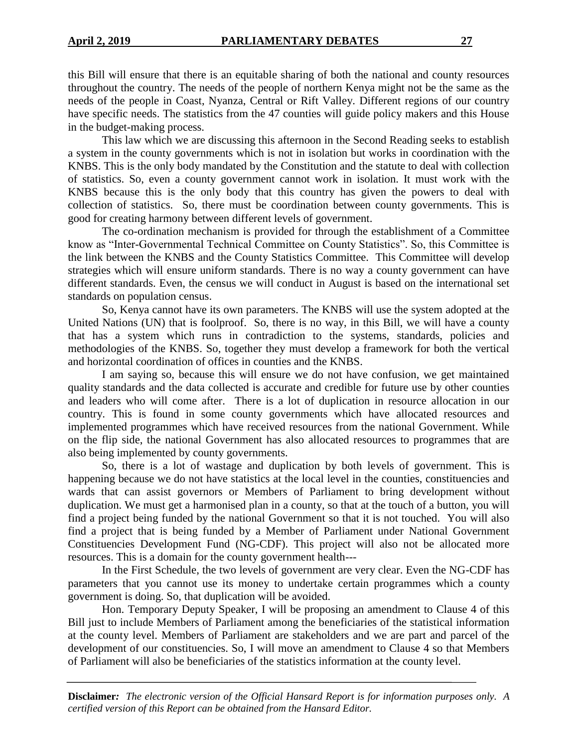this Bill will ensure that there is an equitable sharing of both the national and county resources throughout the country. The needs of the people of northern Kenya might not be the same as the needs of the people in Coast, Nyanza, Central or Rift Valley. Different regions of our country have specific needs. The statistics from the 47 counties will guide policy makers and this House in the budget-making process.

This law which we are discussing this afternoon in the Second Reading seeks to establish a system in the county governments which is not in isolation but works in coordination with the KNBS. This is the only body mandated by the Constitution and the statute to deal with collection of statistics. So, even a county government cannot work in isolation. It must work with the KNBS because this is the only body that this country has given the powers to deal with collection of statistics. So, there must be coordination between county governments. This is good for creating harmony between different levels of government.

The co-ordination mechanism is provided for through the establishment of a Committee know as "Inter-Governmental Technical Committee on County Statistics". So, this Committee is the link between the KNBS and the County Statistics Committee. This Committee will develop strategies which will ensure uniform standards. There is no way a county government can have different standards. Even, the census we will conduct in August is based on the international set standards on population census.

So, Kenya cannot have its own parameters. The KNBS will use the system adopted at the United Nations (UN) that is foolproof. So, there is no way, in this Bill, we will have a county that has a system which runs in contradiction to the systems, standards, policies and methodologies of the KNBS. So, together they must develop a framework for both the vertical and horizontal coordination of offices in counties and the KNBS.

I am saying so, because this will ensure we do not have confusion, we get maintained quality standards and the data collected is accurate and credible for future use by other counties and leaders who will come after. There is a lot of duplication in resource allocation in our country. This is found in some county governments which have allocated resources and implemented programmes which have received resources from the national Government. While on the flip side, the national Government has also allocated resources to programmes that are also being implemented by county governments.

So, there is a lot of wastage and duplication by both levels of government. This is happening because we do not have statistics at the local level in the counties, constituencies and wards that can assist governors or Members of Parliament to bring development without duplication. We must get a harmonised plan in a county, so that at the touch of a button, you will find a project being funded by the national Government so that it is not touched. You will also find a project that is being funded by a Member of Parliament under National Government Constituencies Development Fund (NG-CDF). This project will also not be allocated more resources. This is a domain for the county government health---

In the First Schedule, the two levels of government are very clear. Even the NG-CDF has parameters that you cannot use its money to undertake certain programmes which a county government is doing. So, that duplication will be avoided.

Hon. Temporary Deputy Speaker, I will be proposing an amendment to Clause 4 of this Bill just to include Members of Parliament among the beneficiaries of the statistical information at the county level. Members of Parliament are stakeholders and we are part and parcel of the development of our constituencies. So, I will move an amendment to Clause 4 so that Members of Parliament will also be beneficiaries of the statistics information at the county level.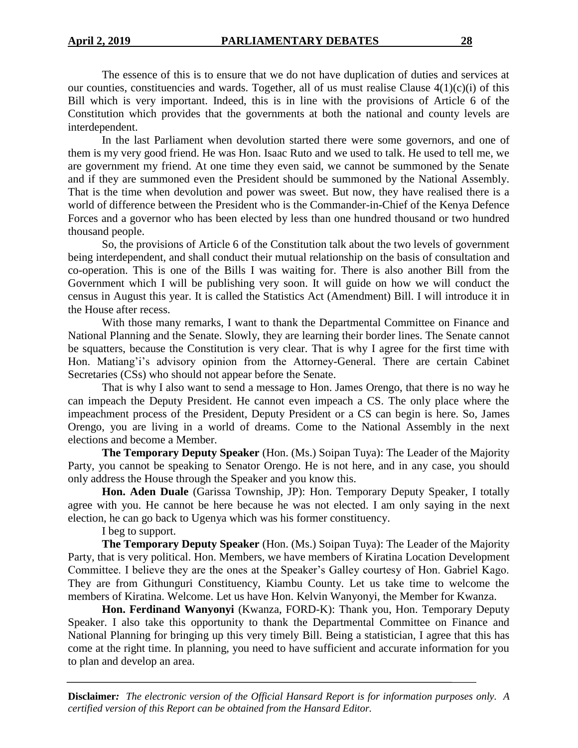The essence of this is to ensure that we do not have duplication of duties and services at our counties, constituencies and wards. Together, all of us must realise Clause  $4(1)(c)(i)$  of this Bill which is very important. Indeed, this is in line with the provisions of Article 6 of the Constitution which provides that the governments at both the national and county levels are interdependent.

In the last Parliament when devolution started there were some governors, and one of them is my very good friend. He was Hon. Isaac Ruto and we used to talk. He used to tell me, we are government my friend. At one time they even said, we cannot be summoned by the Senate and if they are summoned even the President should be summoned by the National Assembly. That is the time when devolution and power was sweet. But now, they have realised there is a world of difference between the President who is the Commander-in-Chief of the Kenya Defence Forces and a governor who has been elected by less than one hundred thousand or two hundred thousand people.

So, the provisions of Article 6 of the Constitution talk about the two levels of government being interdependent, and shall conduct their mutual relationship on the basis of consultation and co-operation. This is one of the Bills I was waiting for. There is also another Bill from the Government which I will be publishing very soon. It will guide on how we will conduct the census in August this year. It is called the Statistics Act (Amendment) Bill. I will introduce it in the House after recess.

With those many remarks, I want to thank the Departmental Committee on Finance and National Planning and the Senate. Slowly, they are learning their border lines. The Senate cannot be squatters, because the Constitution is very clear. That is why I agree for the first time with Hon. Matiang'i's advisory opinion from the Attorney-General. There are certain Cabinet Secretaries (CSs) who should not appear before the Senate.

That is why I also want to send a message to Hon. James Orengo, that there is no way he can impeach the Deputy President. He cannot even impeach a CS. The only place where the impeachment process of the President, Deputy President or a CS can begin is here. So, James Orengo, you are living in a world of dreams. Come to the National Assembly in the next elections and become a Member.

**The Temporary Deputy Speaker** (Hon. (Ms.) Soipan Tuya): The Leader of the Majority Party, you cannot be speaking to Senator Orengo. He is not here, and in any case, you should only address the House through the Speaker and you know this.

**Hon. Aden Duale** (Garissa Township, JP): Hon. Temporary Deputy Speaker, I totally agree with you. He cannot be here because he was not elected. I am only saying in the next election, he can go back to Ugenya which was his former constituency.

I beg to support.

**The Temporary Deputy Speaker** (Hon. (Ms.) Soipan Tuya): The Leader of the Majority Party, that is very political. Hon. Members, we have members of Kiratina Location Development Committee. I believe they are the ones at the Speaker's Galley courtesy of Hon. Gabriel Kago. They are from Githunguri Constituency, Kiambu County. Let us take time to welcome the members of Kiratina. Welcome. Let us have Hon. Kelvin Wanyonyi, the Member for Kwanza.

**Hon. Ferdinand Wanyonyi** (Kwanza, FORD-K): Thank you, Hon. Temporary Deputy Speaker. I also take this opportunity to thank the Departmental Committee on Finance and National Planning for bringing up this very timely Bill. Being a statistician, I agree that this has come at the right time. In planning, you need to have sufficient and accurate information for you to plan and develop an area.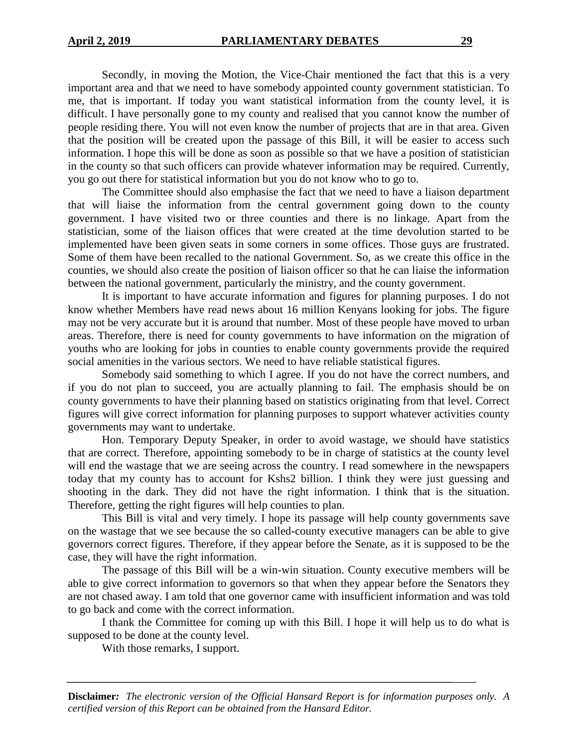Secondly, in moving the Motion, the Vice-Chair mentioned the fact that this is a very important area and that we need to have somebody appointed county government statistician. To me, that is important. If today you want statistical information from the county level, it is difficult. I have personally gone to my county and realised that you cannot know the number of people residing there. You will not even know the number of projects that are in that area. Given that the position will be created upon the passage of this Bill, it will be easier to access such information. I hope this will be done as soon as possible so that we have a position of statistician in the county so that such officers can provide whatever information may be required. Currently, you go out there for statistical information but you do not know who to go to.

The Committee should also emphasise the fact that we need to have a liaison department that will liaise the information from the central government going down to the county government. I have visited two or three counties and there is no linkage. Apart from the statistician, some of the liaison offices that were created at the time devolution started to be implemented have been given seats in some corners in some offices. Those guys are frustrated. Some of them have been recalled to the national Government. So, as we create this office in the counties, we should also create the position of liaison officer so that he can liaise the information between the national government, particularly the ministry, and the county government.

It is important to have accurate information and figures for planning purposes. I do not know whether Members have read news about 16 million Kenyans looking for jobs. The figure may not be very accurate but it is around that number. Most of these people have moved to urban areas. Therefore, there is need for county governments to have information on the migration of youths who are looking for jobs in counties to enable county governments provide the required social amenities in the various sectors. We need to have reliable statistical figures.

Somebody said something to which I agree. If you do not have the correct numbers, and if you do not plan to succeed, you are actually planning to fail. The emphasis should be on county governments to have their planning based on statistics originating from that level. Correct figures will give correct information for planning purposes to support whatever activities county governments may want to undertake.

Hon. Temporary Deputy Speaker, in order to avoid wastage, we should have statistics that are correct. Therefore, appointing somebody to be in charge of statistics at the county level will end the wastage that we are seeing across the country. I read somewhere in the newspapers today that my county has to account for Kshs2 billion. I think they were just guessing and shooting in the dark. They did not have the right information. I think that is the situation. Therefore, getting the right figures will help counties to plan.

This Bill is vital and very timely. I hope its passage will help county governments save on the wastage that we see because the so called-county executive managers can be able to give governors correct figures. Therefore, if they appear before the Senate, as it is supposed to be the case, they will have the right information.

The passage of this Bill will be a win-win situation. County executive members will be able to give correct information to governors so that when they appear before the Senators they are not chased away. I am told that one governor came with insufficient information and was told to go back and come with the correct information.

I thank the Committee for coming up with this Bill. I hope it will help us to do what is supposed to be done at the county level.

With those remarks, I support.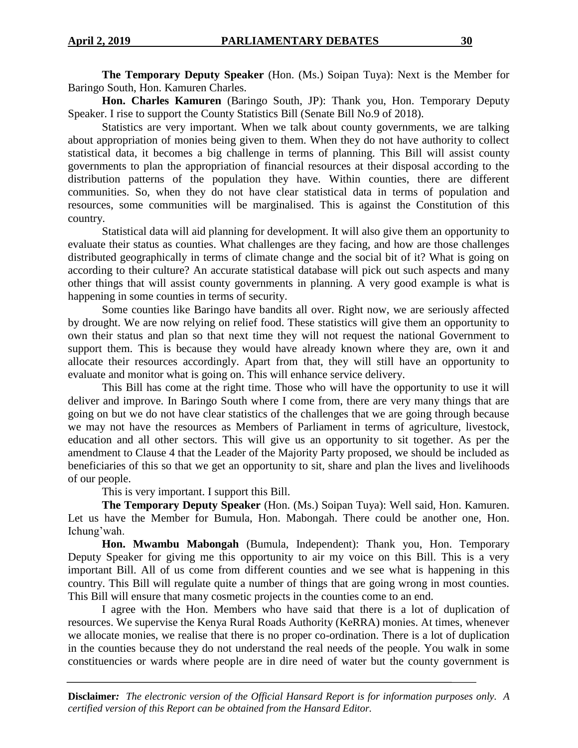**The Temporary Deputy Speaker** (Hon. (Ms.) Soipan Tuya): Next is the Member for Baringo South, Hon. Kamuren Charles.

**Hon. Charles Kamuren** (Baringo South, JP): Thank you, Hon. Temporary Deputy Speaker. I rise to support the County Statistics Bill (Senate Bill No.9 of 2018).

Statistics are very important. When we talk about county governments, we are talking about appropriation of monies being given to them. When they do not have authority to collect statistical data, it becomes a big challenge in terms of planning. This Bill will assist county governments to plan the appropriation of financial resources at their disposal according to the distribution patterns of the population they have. Within counties, there are different communities. So, when they do not have clear statistical data in terms of population and resources, some communities will be marginalised. This is against the Constitution of this country.

Statistical data will aid planning for development. It will also give them an opportunity to evaluate their status as counties. What challenges are they facing, and how are those challenges distributed geographically in terms of climate change and the social bit of it? What is going on according to their culture? An accurate statistical database will pick out such aspects and many other things that will assist county governments in planning. A very good example is what is happening in some counties in terms of security.

Some counties like Baringo have bandits all over. Right now, we are seriously affected by drought. We are now relying on relief food. These statistics will give them an opportunity to own their status and plan so that next time they will not request the national Government to support them. This is because they would have already known where they are, own it and allocate their resources accordingly. Apart from that, they will still have an opportunity to evaluate and monitor what is going on. This will enhance service delivery.

This Bill has come at the right time. Those who will have the opportunity to use it will deliver and improve. In Baringo South where I come from, there are very many things that are going on but we do not have clear statistics of the challenges that we are going through because we may not have the resources as Members of Parliament in terms of agriculture, livestock, education and all other sectors. This will give us an opportunity to sit together. As per the amendment to Clause 4 that the Leader of the Majority Party proposed, we should be included as beneficiaries of this so that we get an opportunity to sit, share and plan the lives and livelihoods of our people.

This is very important. I support this Bill.

**The Temporary Deputy Speaker** (Hon. (Ms.) Soipan Tuya): Well said, Hon. Kamuren. Let us have the Member for Bumula, Hon. Mabongah. There could be another one, Hon. Ichung'wah.

**Hon. Mwambu Mabongah** (Bumula, Independent): Thank you, Hon. Temporary Deputy Speaker for giving me this opportunity to air my voice on this Bill. This is a very important Bill. All of us come from different counties and we see what is happening in this country. This Bill will regulate quite a number of things that are going wrong in most counties. This Bill will ensure that many cosmetic projects in the counties come to an end.

I agree with the Hon. Members who have said that there is a lot of duplication of resources. We supervise the Kenya Rural Roads Authority (KeRRA) monies. At times, whenever we allocate monies, we realise that there is no proper co-ordination. There is a lot of duplication in the counties because they do not understand the real needs of the people. You walk in some constituencies or wards where people are in dire need of water but the county government is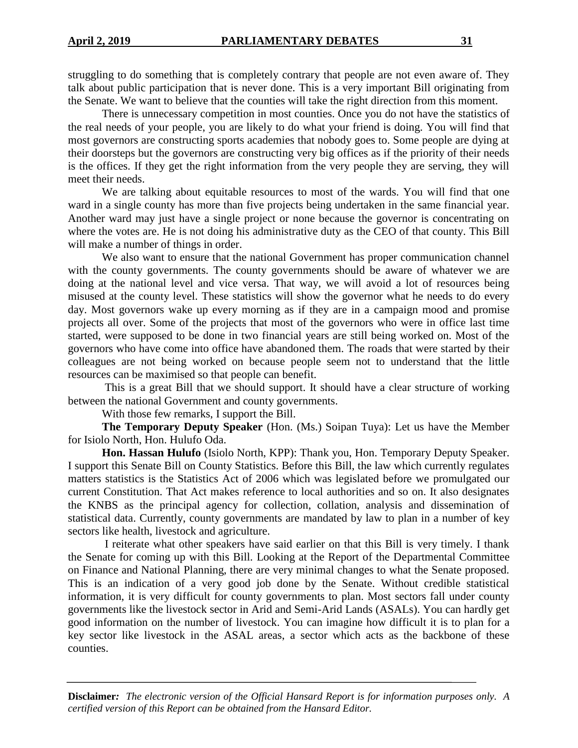struggling to do something that is completely contrary that people are not even aware of. They talk about public participation that is never done. This is a very important Bill originating from the Senate. We want to believe that the counties will take the right direction from this moment.

There is unnecessary competition in most counties. Once you do not have the statistics of the real needs of your people, you are likely to do what your friend is doing. You will find that most governors are constructing sports academies that nobody goes to. Some people are dying at their doorsteps but the governors are constructing very big offices as if the priority of their needs is the offices. If they get the right information from the very people they are serving, they will meet their needs.

We are talking about equitable resources to most of the wards. You will find that one ward in a single county has more than five projects being undertaken in the same financial year. Another ward may just have a single project or none because the governor is concentrating on where the votes are. He is not doing his administrative duty as the CEO of that county. This Bill will make a number of things in order.

We also want to ensure that the national Government has proper communication channel with the county governments. The county governments should be aware of whatever we are doing at the national level and vice versa. That way, we will avoid a lot of resources being misused at the county level. These statistics will show the governor what he needs to do every day. Most governors wake up every morning as if they are in a campaign mood and promise projects all over. Some of the projects that most of the governors who were in office last time started, were supposed to be done in two financial years are still being worked on. Most of the governors who have come into office have abandoned them. The roads that were started by their colleagues are not being worked on because people seem not to understand that the little resources can be maximised so that people can benefit.

This is a great Bill that we should support. It should have a clear structure of working between the national Government and county governments.

With those few remarks, I support the Bill.

**The Temporary Deputy Speaker** (Hon. (Ms.) Soipan Tuya): Let us have the Member for Isiolo North, Hon. Hulufo Oda.

**Hon. Hassan Hulufo** (Isiolo North, KPP): Thank you, Hon. Temporary Deputy Speaker. I support this Senate Bill on County Statistics. Before this Bill, the law which currently regulates matters statistics is the Statistics Act of 2006 which was legislated before we promulgated our current Constitution. That Act makes reference to local authorities and so on. It also designates the KNBS as the principal agency for collection, collation, analysis and dissemination of statistical data. Currently, county governments are mandated by law to plan in a number of key sectors like health, livestock and agriculture.

I reiterate what other speakers have said earlier on that this Bill is very timely. I thank the Senate for coming up with this Bill. Looking at the Report of the Departmental Committee on Finance and National Planning, there are very minimal changes to what the Senate proposed. This is an indication of a very good job done by the Senate. Without credible statistical information, it is very difficult for county governments to plan. Most sectors fall under county governments like the livestock sector in Arid and Semi-Arid Lands (ASALs). You can hardly get good information on the number of livestock. You can imagine how difficult it is to plan for a key sector like livestock in the ASAL areas, a sector which acts as the backbone of these counties.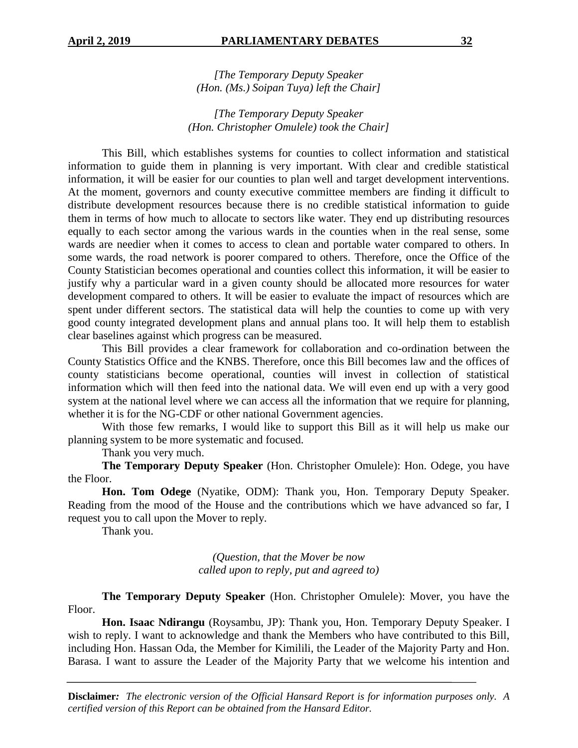*[The Temporary Deputy Speaker (Hon. (Ms.) Soipan Tuya) left the Chair]*

*[The Temporary Deputy Speaker (Hon. Christopher Omulele) took the Chair]*

This Bill, which establishes systems for counties to collect information and statistical information to guide them in planning is very important. With clear and credible statistical information, it will be easier for our counties to plan well and target development interventions. At the moment, governors and county executive committee members are finding it difficult to distribute development resources because there is no credible statistical information to guide them in terms of how much to allocate to sectors like water. They end up distributing resources equally to each sector among the various wards in the counties when in the real sense, some wards are needier when it comes to access to clean and portable water compared to others. In some wards, the road network is poorer compared to others. Therefore, once the Office of the County Statistician becomes operational and counties collect this information, it will be easier to justify why a particular ward in a given county should be allocated more resources for water development compared to others. It will be easier to evaluate the impact of resources which are spent under different sectors. The statistical data will help the counties to come up with very good county integrated development plans and annual plans too. It will help them to establish clear baselines against which progress can be measured.

This Bill provides a clear framework for collaboration and co-ordination between the County Statistics Office and the KNBS. Therefore, once this Bill becomes law and the offices of county statisticians become operational, counties will invest in collection of statistical information which will then feed into the national data. We will even end up with a very good system at the national level where we can access all the information that we require for planning, whether it is for the NG-CDF or other national Government agencies.

With those few remarks, I would like to support this Bill as it will help us make our planning system to be more systematic and focused.

Thank you very much.

**The Temporary Deputy Speaker** (Hon. Christopher Omulele): Hon. Odege, you have the Floor.

**Hon. Tom Odege** (Nyatike, ODM): Thank you, Hon. Temporary Deputy Speaker. Reading from the mood of the House and the contributions which we have advanced so far, I request you to call upon the Mover to reply.

Thank you.

*(Question, that the Mover be now called upon to reply, put and agreed to)*

**The Temporary Deputy Speaker** (Hon. Christopher Omulele): Mover, you have the Floor.

**Hon. Isaac Ndirangu** (Roysambu, JP): Thank you, Hon. Temporary Deputy Speaker. I wish to reply. I want to acknowledge and thank the Members who have contributed to this Bill, including Hon. Hassan Oda, the Member for Kimilili, the Leader of the Majority Party and Hon. Barasa. I want to assure the Leader of the Majority Party that we welcome his intention and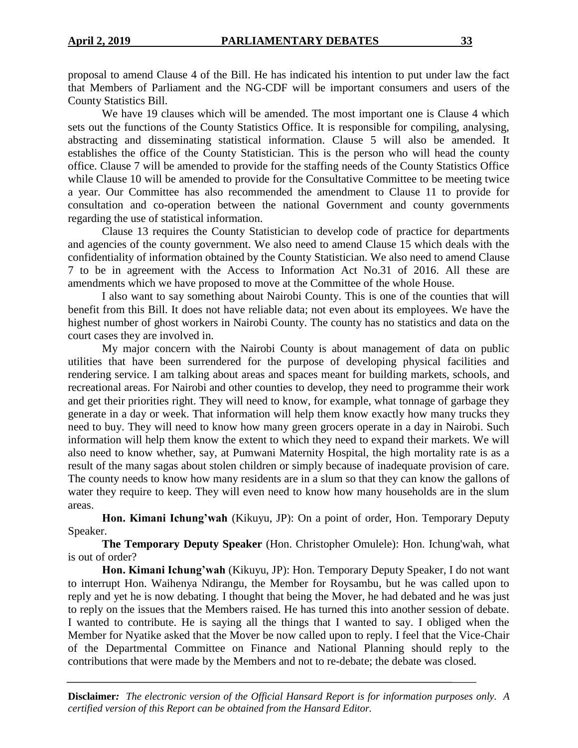proposal to amend Clause 4 of the Bill. He has indicated his intention to put under law the fact that Members of Parliament and the NG-CDF will be important consumers and users of the County Statistics Bill.

We have 19 clauses which will be amended. The most important one is Clause 4 which sets out the functions of the County Statistics Office. It is responsible for compiling, analysing, abstracting and disseminating statistical information. Clause 5 will also be amended. It establishes the office of the County Statistician. This is the person who will head the county office. Clause 7 will be amended to provide for the staffing needs of the County Statistics Office while Clause 10 will be amended to provide for the Consultative Committee to be meeting twice a year. Our Committee has also recommended the amendment to Clause 11 to provide for consultation and co-operation between the national Government and county governments regarding the use of statistical information.

Clause 13 requires the County Statistician to develop code of practice for departments and agencies of the county government. We also need to amend Clause 15 which deals with the confidentiality of information obtained by the County Statistician. We also need to amend Clause 7 to be in agreement with the Access to Information Act No.31 of 2016. All these are amendments which we have proposed to move at the Committee of the whole House.

I also want to say something about Nairobi County. This is one of the counties that will benefit from this Bill. It does not have reliable data; not even about its employees. We have the highest number of ghost workers in Nairobi County. The county has no statistics and data on the court cases they are involved in.

My major concern with the Nairobi County is about management of data on public utilities that have been surrendered for the purpose of developing physical facilities and rendering service. I am talking about areas and spaces meant for building markets, schools, and recreational areas. For Nairobi and other counties to develop, they need to programme their work and get their priorities right. They will need to know, for example, what tonnage of garbage they generate in a day or week. That information will help them know exactly how many trucks they need to buy. They will need to know how many green grocers operate in a day in Nairobi. Such information will help them know the extent to which they need to expand their markets. We will also need to know whether, say, at Pumwani Maternity Hospital, the high mortality rate is as a result of the many sagas about stolen children or simply because of inadequate provision of care. The county needs to know how many residents are in a slum so that they can know the gallons of water they require to keep. They will even need to know how many households are in the slum areas.

**Hon. Kimani Ichung'wah** (Kikuyu, JP): On a point of order, Hon. Temporary Deputy Speaker.

**The Temporary Deputy Speaker** (Hon. Christopher Omulele): Hon. Ichung'wah, what is out of order?

**Hon. Kimani Ichung'wah** (Kikuyu, JP): Hon. Temporary Deputy Speaker, I do not want to interrupt Hon. Waihenya Ndirangu, the Member for Roysambu, but he was called upon to reply and yet he is now debating. I thought that being the Mover, he had debated and he was just to reply on the issues that the Members raised. He has turned this into another session of debate. I wanted to contribute. He is saying all the things that I wanted to say. I obliged when the Member for Nyatike asked that the Mover be now called upon to reply. I feel that the Vice-Chair of the Departmental Committee on Finance and National Planning should reply to the contributions that were made by the Members and not to re-debate; the debate was closed.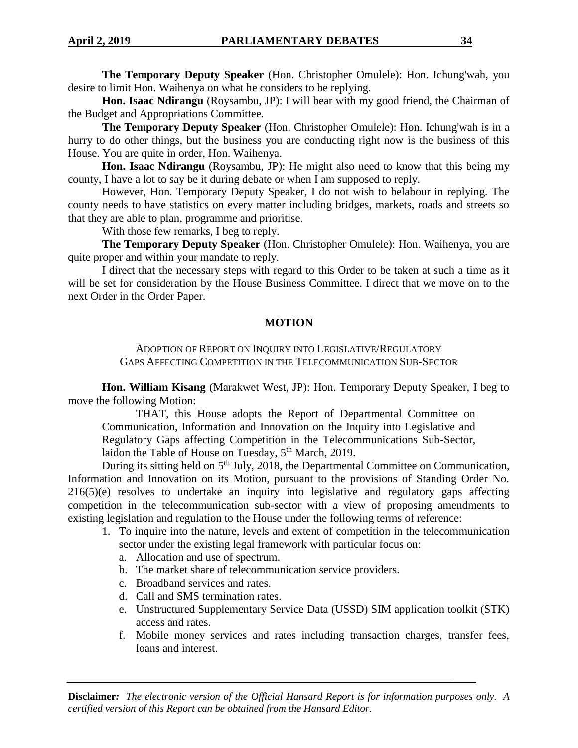**The Temporary Deputy Speaker** (Hon. Christopher Omulele): Hon. Ichung'wah, you desire to limit Hon. Waihenya on what he considers to be replying.

**Hon. Isaac Ndirangu** (Roysambu, JP): I will bear with my good friend, the Chairman of the Budget and Appropriations Committee.

**The Temporary Deputy Speaker** (Hon. Christopher Omulele): Hon. Ichung'wah is in a hurry to do other things, but the business you are conducting right now is the business of this House. You are quite in order, Hon. Waihenya.

**Hon. Isaac Ndirangu** (Roysambu, JP): He might also need to know that this being my county, I have a lot to say be it during debate or when I am supposed to reply.

However, Hon. Temporary Deputy Speaker, I do not wish to belabour in replying. The county needs to have statistics on every matter including bridges, markets, roads and streets so that they are able to plan, programme and prioritise.

With those few remarks, I beg to reply.

**The Temporary Deputy Speaker** (Hon. Christopher Omulele): Hon. Waihenya, you are quite proper and within your mandate to reply.

I direct that the necessary steps with regard to this Order to be taken at such a time as it will be set for consideration by the House Business Committee. I direct that we move on to the next Order in the Order Paper.

#### **MOTION**

#### ADOPTION OF REPORT ON INQUIRY INTO LEGISLATIVE/REGULATORY GAPS AFFECTING COMPETITION IN THE TELECOMMUNICATION SUB-SECTOR

**Hon. William Kisang** (Marakwet West, JP): Hon. Temporary Deputy Speaker, I beg to move the following Motion:

THAT, this House adopts the Report of Departmental Committee on Communication, Information and Innovation on the Inquiry into Legislative and Regulatory Gaps affecting Competition in the Telecommunications Sub-Sector, laidon the Table of House on Tuesday, 5<sup>th</sup> March, 2019.

During its sitting held on 5<sup>th</sup> July, 2018, the Departmental Committee on Communication, Information and Innovation on its Motion, pursuant to the provisions of Standing Order No. 216(5)(e) resolves to undertake an inquiry into legislative and regulatory gaps affecting competition in the telecommunication sub-sector with a view of proposing amendments to existing legislation and regulation to the House under the following terms of reference:

- 1. To inquire into the nature, levels and extent of competition in the telecommunication sector under the existing legal framework with particular focus on:
	- a. Allocation and use of spectrum.
	- b. The market share of telecommunication service providers.
	- c. Broadband services and rates.
	- d. Call and SMS termination rates.
	- e. Unstructured Supplementary Service Data (USSD) SIM application toolkit (STK) access and rates.
	- f. Mobile money services and rates including transaction charges, transfer fees, loans and interest.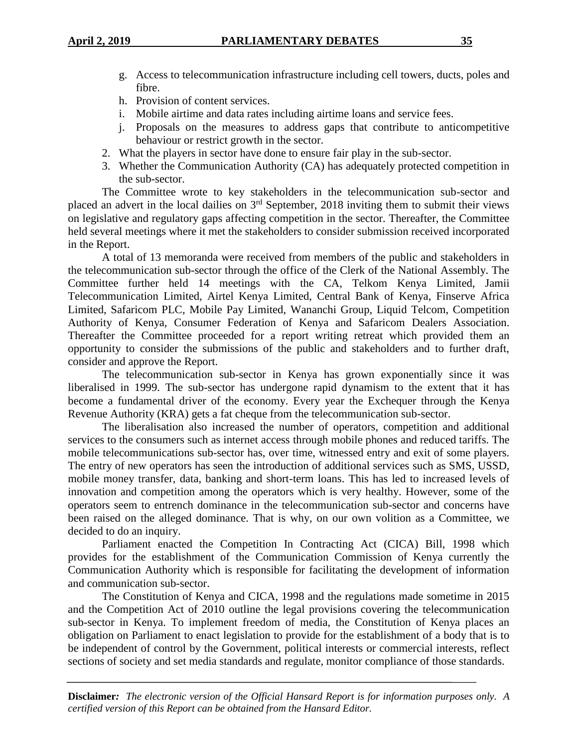- g. Access to telecommunication infrastructure including cell towers, ducts, poles and fibre.
- h. Provision of content services.
- i. Mobile airtime and data rates including airtime loans and service fees.
- j. Proposals on the measures to address gaps that contribute to anticompetitive behaviour or restrict growth in the sector.
- 2. What the players in sector have done to ensure fair play in the sub-sector.
- 3. Whether the Communication Authority (CA) has adequately protected competition in the sub-sector.

The Committee wrote to key stakeholders in the telecommunication sub-sector and placed an advert in the local dailies on 3rd September, 2018 inviting them to submit their views on legislative and regulatory gaps affecting competition in the sector. Thereafter, the Committee held several meetings where it met the stakeholders to consider submission received incorporated in the Report.

A total of 13 memoranda were received from members of the public and stakeholders in the telecommunication sub-sector through the office of the Clerk of the National Assembly. The Committee further held 14 meetings with the CA, Telkom Kenya Limited, Jamii Telecommunication Limited, Airtel Kenya Limited, Central Bank of Kenya, Finserve Africa Limited, Safaricom PLC, Mobile Pay Limited, Wananchi Group, Liquid Telcom, Competition Authority of Kenya, Consumer Federation of Kenya and Safaricom Dealers Association. Thereafter the Committee proceeded for a report writing retreat which provided them an opportunity to consider the submissions of the public and stakeholders and to further draft, consider and approve the Report.

The telecommunication sub-sector in Kenya has grown exponentially since it was liberalised in 1999. The sub-sector has undergone rapid dynamism to the extent that it has become a fundamental driver of the economy. Every year the Exchequer through the Kenya Revenue Authority (KRA) gets a fat cheque from the telecommunication sub-sector.

The liberalisation also increased the number of operators, competition and additional services to the consumers such as internet access through mobile phones and reduced tariffs. The mobile telecommunications sub-sector has, over time, witnessed entry and exit of some players. The entry of new operators has seen the introduction of additional services such as SMS, USSD, mobile money transfer, data, banking and short-term loans. This has led to increased levels of innovation and competition among the operators which is very healthy. However, some of the operators seem to entrench dominance in the telecommunication sub-sector and concerns have been raised on the alleged dominance. That is why, on our own volition as a Committee, we decided to do an inquiry.

Parliament enacted the Competition In Contracting Act (CICA) Bill, 1998 which provides for the establishment of the Communication Commission of Kenya currently the Communication Authority which is responsible for facilitating the development of information and communication sub-sector.

The Constitution of Kenya and CICA, 1998 and the regulations made sometime in 2015 and the Competition Act of 2010 outline the legal provisions covering the telecommunication sub-sector in Kenya. To implement freedom of media, the Constitution of Kenya places an obligation on Parliament to enact legislation to provide for the establishment of a body that is to be independent of control by the Government, political interests or commercial interests, reflect sections of society and set media standards and regulate, monitor compliance of those standards.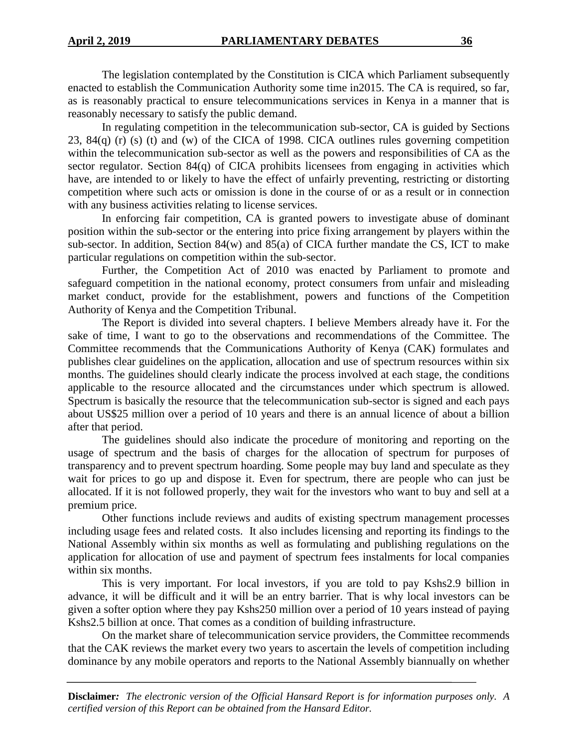The legislation contemplated by the Constitution is CICA which Parliament subsequently enacted to establish the Communication Authority some time in2015. The CA is required, so far, as is reasonably practical to ensure telecommunications services in Kenya in a manner that is reasonably necessary to satisfy the public demand.

In regulating competition in the telecommunication sub-sector, CA is guided by Sections 23, 84(q) (r) (s) (t) and (w) of the CICA of 1998. CICA outlines rules governing competition within the telecommunication sub-sector as well as the powers and responsibilities of CA as the sector regulator. Section 84(q) of CICA prohibits licensees from engaging in activities which have, are intended to or likely to have the effect of unfairly preventing, restricting or distorting competition where such acts or omission is done in the course of or as a result or in connection with any business activities relating to license services.

In enforcing fair competition, CA is granted powers to investigate abuse of dominant position within the sub-sector or the entering into price fixing arrangement by players within the sub-sector. In addition, Section 84(w) and 85(a) of CICA further mandate the CS, ICT to make particular regulations on competition within the sub-sector.

Further, the Competition Act of 2010 was enacted by Parliament to promote and safeguard competition in the national economy, protect consumers from unfair and misleading market conduct, provide for the establishment, powers and functions of the Competition Authority of Kenya and the Competition Tribunal.

The Report is divided into several chapters. I believe Members already have it. For the sake of time, I want to go to the observations and recommendations of the Committee. The Committee recommends that the Communications Authority of Kenya (CAK) formulates and publishes clear guidelines on the application, allocation and use of spectrum resources within six months. The guidelines should clearly indicate the process involved at each stage, the conditions applicable to the resource allocated and the circumstances under which spectrum is allowed. Spectrum is basically the resource that the telecommunication sub-sector is signed and each pays about US\$25 million over a period of 10 years and there is an annual licence of about a billion after that period.

The guidelines should also indicate the procedure of monitoring and reporting on the usage of spectrum and the basis of charges for the allocation of spectrum for purposes of transparency and to prevent spectrum hoarding. Some people may buy land and speculate as they wait for prices to go up and dispose it. Even for spectrum, there are people who can just be allocated. If it is not followed properly, they wait for the investors who want to buy and sell at a premium price.

Other functions include reviews and audits of existing spectrum management processes including usage fees and related costs. It also includes licensing and reporting its findings to the National Assembly within six months as well as formulating and publishing regulations on the application for allocation of use and payment of spectrum fees instalments for local companies within six months.

This is very important. For local investors, if you are told to pay Kshs2.9 billion in advance, it will be difficult and it will be an entry barrier. That is why local investors can be given a softer option where they pay Kshs250 million over a period of 10 years instead of paying Kshs2.5 billion at once. That comes as a condition of building infrastructure.

On the market share of telecommunication service providers, the Committee recommends that the CAK reviews the market every two years to ascertain the levels of competition including dominance by any mobile operators and reports to the National Assembly biannually on whether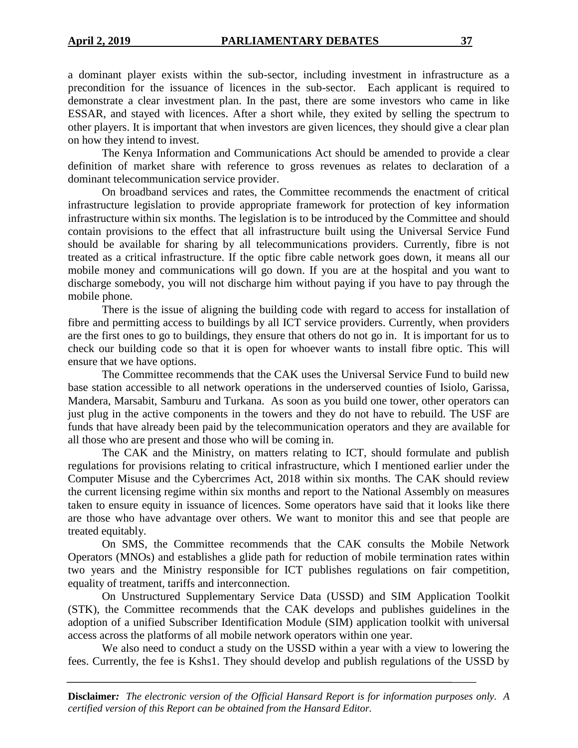a dominant player exists within the sub-sector, including investment in infrastructure as a precondition for the issuance of licences in the sub-sector. Each applicant is required to demonstrate a clear investment plan. In the past, there are some investors who came in like ESSAR, and stayed with licences. After a short while, they exited by selling the spectrum to other players. It is important that when investors are given licences, they should give a clear plan on how they intend to invest.

The Kenya Information and Communications Act should be amended to provide a clear definition of market share with reference to gross revenues as relates to declaration of a dominant telecommunication service provider.

On broadband services and rates, the Committee recommends the enactment of critical infrastructure legislation to provide appropriate framework for protection of key information infrastructure within six months. The legislation is to be introduced by the Committee and should contain provisions to the effect that all infrastructure built using the Universal Service Fund should be available for sharing by all telecommunications providers. Currently, fibre is not treated as a critical infrastructure. If the optic fibre cable network goes down, it means all our mobile money and communications will go down. If you are at the hospital and you want to discharge somebody, you will not discharge him without paying if you have to pay through the mobile phone.

There is the issue of aligning the building code with regard to access for installation of fibre and permitting access to buildings by all ICT service providers. Currently, when providers are the first ones to go to buildings, they ensure that others do not go in. It is important for us to check our building code so that it is open for whoever wants to install fibre optic. This will ensure that we have options.

The Committee recommends that the CAK uses the Universal Service Fund to build new base station accessible to all network operations in the underserved counties of Isiolo, Garissa, Mandera, Marsabit, Samburu and Turkana. As soon as you build one tower, other operators can just plug in the active components in the towers and they do not have to rebuild. The USF are funds that have already been paid by the telecommunication operators and they are available for all those who are present and those who will be coming in.

The CAK and the Ministry, on matters relating to ICT, should formulate and publish regulations for provisions relating to critical infrastructure, which I mentioned earlier under the Computer Misuse and the Cybercrimes Act, 2018 within six months. The CAK should review the current licensing regime within six months and report to the National Assembly on measures taken to ensure equity in issuance of licences. Some operators have said that it looks like there are those who have advantage over others. We want to monitor this and see that people are treated equitably.

On SMS, the Committee recommends that the CAK consults the Mobile Network Operators (MNOs) and establishes a glide path for reduction of mobile termination rates within two years and the Ministry responsible for ICT publishes regulations on fair competition, equality of treatment, tariffs and interconnection.

On Unstructured Supplementary Service Data (USSD) and SIM Application Toolkit (STK), the Committee recommends that the CAK develops and publishes guidelines in the adoption of a unified Subscriber Identification Module (SIM) application toolkit with universal access across the platforms of all mobile network operators within one year.

We also need to conduct a study on the USSD within a year with a view to lowering the fees. Currently, the fee is Kshs1. They should develop and publish regulations of the USSD by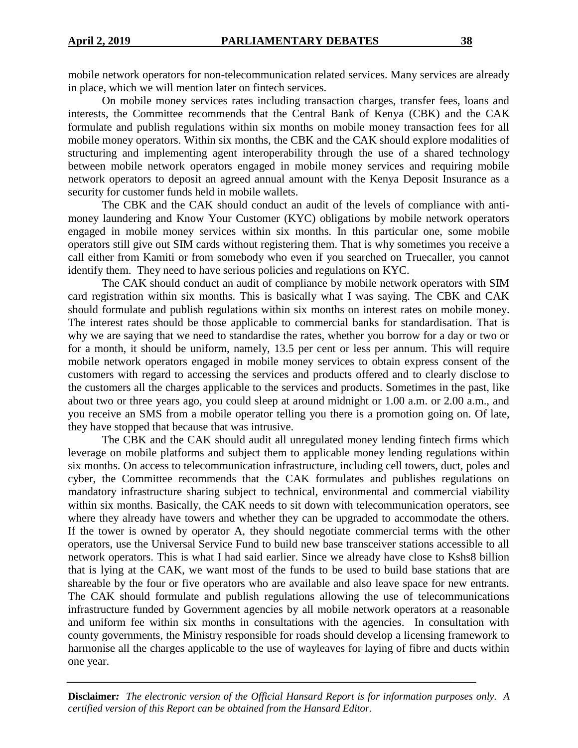mobile network operators for non-telecommunication related services. Many services are already in place, which we will mention later on fintech services.

On mobile money services rates including transaction charges, transfer fees, loans and interests, the Committee recommends that the Central Bank of Kenya (CBK) and the CAK formulate and publish regulations within six months on mobile money transaction fees for all mobile money operators. Within six months, the CBK and the CAK should explore modalities of structuring and implementing agent interoperability through the use of a shared technology between mobile network operators engaged in mobile money services and requiring mobile network operators to deposit an agreed annual amount with the Kenya Deposit Insurance as a security for customer funds held in mobile wallets.

The CBK and the CAK should conduct an audit of the levels of compliance with antimoney laundering and Know Your Customer (KYC) obligations by mobile network operators engaged in mobile money services within six months. In this particular one, some mobile operators still give out SIM cards without registering them. That is why sometimes you receive a call either from Kamiti or from somebody who even if you searched on Truecaller, you cannot identify them. They need to have serious policies and regulations on KYC.

The CAK should conduct an audit of compliance by mobile network operators with SIM card registration within six months. This is basically what I was saying. The CBK and CAK should formulate and publish regulations within six months on interest rates on mobile money. The interest rates should be those applicable to commercial banks for standardisation. That is why we are saying that we need to standardise the rates, whether you borrow for a day or two or for a month, it should be uniform, namely, 13.5 per cent or less per annum. This will require mobile network operators engaged in mobile money services to obtain express consent of the customers with regard to accessing the services and products offered and to clearly disclose to the customers all the charges applicable to the services and products. Sometimes in the past, like about two or three years ago, you could sleep at around midnight or 1.00 a.m. or 2.00 a.m., and you receive an SMS from a mobile operator telling you there is a promotion going on. Of late, they have stopped that because that was intrusive.

The CBK and the CAK should audit all unregulated money lending fintech firms which leverage on mobile platforms and subject them to applicable money lending regulations within six months. On access to telecommunication infrastructure, including cell towers, duct, poles and cyber, the Committee recommends that the CAK formulates and publishes regulations on mandatory infrastructure sharing subject to technical, environmental and commercial viability within six months. Basically, the CAK needs to sit down with telecommunication operators, see where they already have towers and whether they can be upgraded to accommodate the others. If the tower is owned by operator A, they should negotiate commercial terms with the other operators, use the Universal Service Fund to build new base transceiver stations accessible to all network operators. This is what I had said earlier. Since we already have close to Kshs8 billion that is lying at the CAK, we want most of the funds to be used to build base stations that are shareable by the four or five operators who are available and also leave space for new entrants. The CAK should formulate and publish regulations allowing the use of telecommunications infrastructure funded by Government agencies by all mobile network operators at a reasonable and uniform fee within six months in consultations with the agencies. In consultation with county governments, the Ministry responsible for roads should develop a licensing framework to harmonise all the charges applicable to the use of wayleaves for laying of fibre and ducts within one year.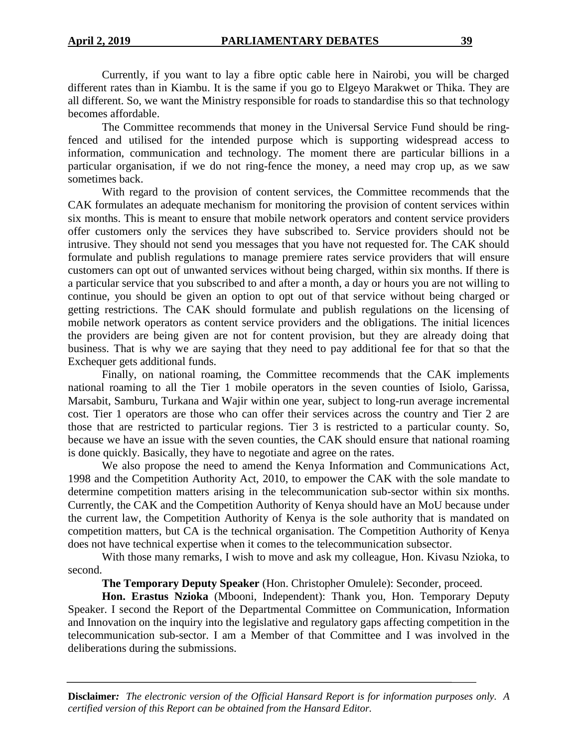Currently, if you want to lay a fibre optic cable here in Nairobi, you will be charged different rates than in Kiambu. It is the same if you go to Elgeyo Marakwet or Thika. They are all different. So, we want the Ministry responsible for roads to standardise this so that technology becomes affordable.

The Committee recommends that money in the Universal Service Fund should be ringfenced and utilised for the intended purpose which is supporting widespread access to information, communication and technology. The moment there are particular billions in a particular organisation, if we do not ring-fence the money, a need may crop up, as we saw sometimes back.

With regard to the provision of content services, the Committee recommends that the CAK formulates an adequate mechanism for monitoring the provision of content services within six months. This is meant to ensure that mobile network operators and content service providers offer customers only the services they have subscribed to. Service providers should not be intrusive. They should not send you messages that you have not requested for. The CAK should formulate and publish regulations to manage premiere rates service providers that will ensure customers can opt out of unwanted services without being charged, within six months. If there is a particular service that you subscribed to and after a month, a day or hours you are not willing to continue, you should be given an option to opt out of that service without being charged or getting restrictions. The CAK should formulate and publish regulations on the licensing of mobile network operators as content service providers and the obligations. The initial licences the providers are being given are not for content provision, but they are already doing that business. That is why we are saying that they need to pay additional fee for that so that the Exchequer gets additional funds.

Finally, on national roaming, the Committee recommends that the CAK implements national roaming to all the Tier 1 mobile operators in the seven counties of Isiolo, Garissa, Marsabit, Samburu, Turkana and Wajir within one year, subject to long-run average incremental cost. Tier 1 operators are those who can offer their services across the country and Tier 2 are those that are restricted to particular regions. Tier 3 is restricted to a particular county. So, because we have an issue with the seven counties, the CAK should ensure that national roaming is done quickly. Basically, they have to negotiate and agree on the rates.

We also propose the need to amend the Kenya Information and Communications Act, 1998 and the Competition Authority Act, 2010, to empower the CAK with the sole mandate to determine competition matters arising in the telecommunication sub-sector within six months. Currently, the CAK and the Competition Authority of Kenya should have an MoU because under the current law, the Competition Authority of Kenya is the sole authority that is mandated on competition matters, but CA is the technical organisation. The Competition Authority of Kenya does not have technical expertise when it comes to the telecommunication subsector.

With those many remarks, I wish to move and ask my colleague, Hon. Kivasu Nzioka, to second.

**The Temporary Deputy Speaker** (Hon. Christopher Omulele): Seconder, proceed.

**Hon. Erastus Nzioka** (Mbooni, Independent): Thank you, Hon. Temporary Deputy Speaker. I second the Report of the Departmental Committee on Communication, Information and Innovation on the inquiry into the legislative and regulatory gaps affecting competition in the telecommunication sub-sector. I am a Member of that Committee and I was involved in the deliberations during the submissions.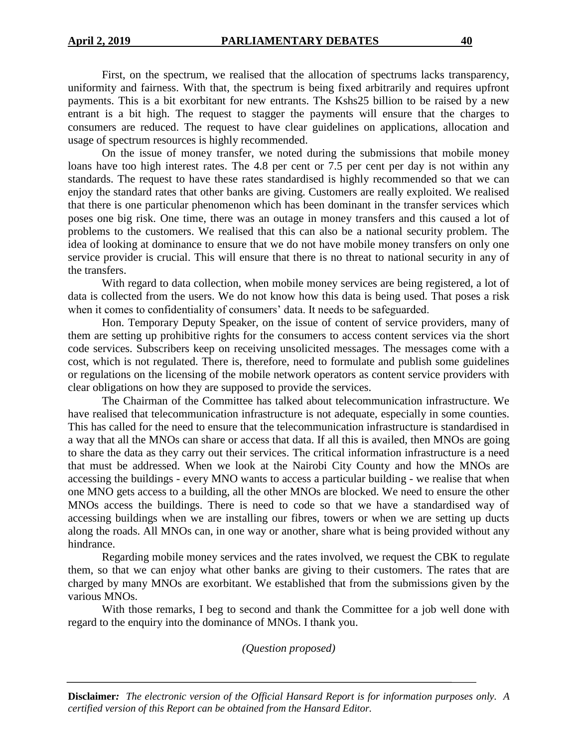First, on the spectrum, we realised that the allocation of spectrums lacks transparency, uniformity and fairness. With that, the spectrum is being fixed arbitrarily and requires upfront payments. This is a bit exorbitant for new entrants. The Kshs25 billion to be raised by a new entrant is a bit high. The request to stagger the payments will ensure that the charges to consumers are reduced. The request to have clear guidelines on applications, allocation and usage of spectrum resources is highly recommended.

On the issue of money transfer, we noted during the submissions that mobile money loans have too high interest rates. The 4.8 per cent or 7.5 per cent per day is not within any standards. The request to have these rates standardised is highly recommended so that we can enjoy the standard rates that other banks are giving. Customers are really exploited. We realised that there is one particular phenomenon which has been dominant in the transfer services which poses one big risk. One time, there was an outage in money transfers and this caused a lot of problems to the customers. We realised that this can also be a national security problem. The idea of looking at dominance to ensure that we do not have mobile money transfers on only one service provider is crucial. This will ensure that there is no threat to national security in any of the transfers.

With regard to data collection, when mobile money services are being registered, a lot of data is collected from the users. We do not know how this data is being used. That poses a risk when it comes to confidentiality of consumers' data. It needs to be safeguarded.

Hon. Temporary Deputy Speaker, on the issue of content of service providers, many of them are setting up prohibitive rights for the consumers to access content services via the short code services. Subscribers keep on receiving unsolicited messages. The messages come with a cost, which is not regulated. There is, therefore, need to formulate and publish some guidelines or regulations on the licensing of the mobile network operators as content service providers with clear obligations on how they are supposed to provide the services.

The Chairman of the Committee has talked about telecommunication infrastructure. We have realised that telecommunication infrastructure is not adequate, especially in some counties. This has called for the need to ensure that the telecommunication infrastructure is standardised in a way that all the MNOs can share or access that data. If all this is availed, then MNOs are going to share the data as they carry out their services. The critical information infrastructure is a need that must be addressed. When we look at the Nairobi City County and how the MNOs are accessing the buildings - every MNO wants to access a particular building - we realise that when one MNO gets access to a building, all the other MNOs are blocked. We need to ensure the other MNOs access the buildings. There is need to code so that we have a standardised way of accessing buildings when we are installing our fibres, towers or when we are setting up ducts along the roads. All MNOs can, in one way or another, share what is being provided without any hindrance.

Regarding mobile money services and the rates involved, we request the CBK to regulate them, so that we can enjoy what other banks are giving to their customers. The rates that are charged by many MNOs are exorbitant. We established that from the submissions given by the various MNOs.

With those remarks, I beg to second and thank the Committee for a job well done with regard to the enquiry into the dominance of MNOs. I thank you.

*(Question proposed)*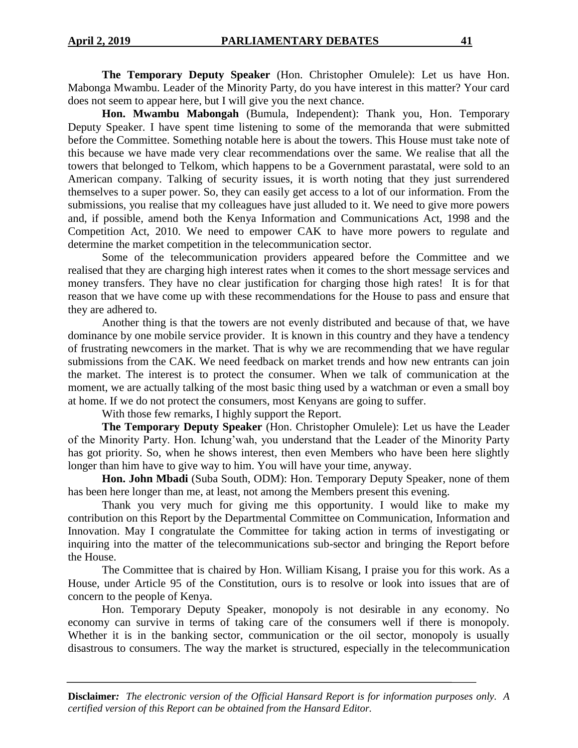**The Temporary Deputy Speaker** (Hon. Christopher Omulele): Let us have Hon. Mabonga Mwambu. Leader of the Minority Party, do you have interest in this matter? Your card does not seem to appear here, but I will give you the next chance.

**Hon. Mwambu Mabongah** (Bumula, Independent): Thank you, Hon. Temporary Deputy Speaker. I have spent time listening to some of the memoranda that were submitted before the Committee. Something notable here is about the towers. This House must take note of this because we have made very clear recommendations over the same. We realise that all the towers that belonged to Telkom, which happens to be a Government parastatal, were sold to an American company. Talking of security issues, it is worth noting that they just surrendered themselves to a super power. So, they can easily get access to a lot of our information. From the submissions, you realise that my colleagues have just alluded to it. We need to give more powers and, if possible, amend both the Kenya Information and Communications Act, 1998 and the Competition Act, 2010. We need to empower CAK to have more powers to regulate and determine the market competition in the telecommunication sector.

Some of the telecommunication providers appeared before the Committee and we realised that they are charging high interest rates when it comes to the short message services and money transfers. They have no clear justification for charging those high rates! It is for that reason that we have come up with these recommendations for the House to pass and ensure that they are adhered to.

Another thing is that the towers are not evenly distributed and because of that, we have dominance by one mobile service provider. It is known in this country and they have a tendency of frustrating newcomers in the market. That is why we are recommending that we have regular submissions from the CAK. We need feedback on market trends and how new entrants can join the market. The interest is to protect the consumer. When we talk of communication at the moment, we are actually talking of the most basic thing used by a watchman or even a small boy at home. If we do not protect the consumers, most Kenyans are going to suffer.

With those few remarks, I highly support the Report.

**The Temporary Deputy Speaker** (Hon. Christopher Omulele): Let us have the Leader of the Minority Party. Hon. Ichung'wah, you understand that the Leader of the Minority Party has got priority. So, when he shows interest, then even Members who have been here slightly longer than him have to give way to him. You will have your time, anyway.

**Hon. John Mbadi** (Suba South, ODM): Hon. Temporary Deputy Speaker, none of them has been here longer than me, at least, not among the Members present this evening.

Thank you very much for giving me this opportunity. I would like to make my contribution on this Report by the Departmental Committee on Communication, Information and Innovation. May I congratulate the Committee for taking action in terms of investigating or inquiring into the matter of the telecommunications sub-sector and bringing the Report before the House.

The Committee that is chaired by Hon. William Kisang, I praise you for this work. As a House, under Article 95 of the Constitution, ours is to resolve or look into issues that are of concern to the people of Kenya.

Hon. Temporary Deputy Speaker, monopoly is not desirable in any economy. No economy can survive in terms of taking care of the consumers well if there is monopoly. Whether it is in the banking sector, communication or the oil sector, monopoly is usually disastrous to consumers. The way the market is structured, especially in the telecommunication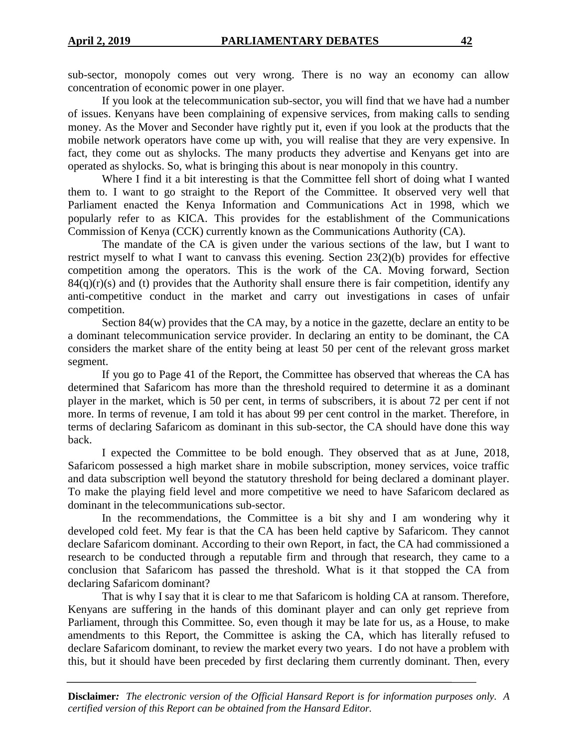sub-sector, monopoly comes out very wrong. There is no way an economy can allow concentration of economic power in one player.

If you look at the telecommunication sub-sector, you will find that we have had a number of issues. Kenyans have been complaining of expensive services, from making calls to sending money. As the Mover and Seconder have rightly put it, even if you look at the products that the mobile network operators have come up with, you will realise that they are very expensive. In fact, they come out as shylocks. The many products they advertise and Kenyans get into are operated as shylocks. So, what is bringing this about is near monopoly in this country.

Where I find it a bit interesting is that the Committee fell short of doing what I wanted them to. I want to go straight to the Report of the Committee. It observed very well that Parliament enacted the Kenya Information and Communications Act in 1998, which we popularly refer to as KICA. This provides for the establishment of the Communications Commission of Kenya (CCK) currently known as the Communications Authority (CA).

The mandate of the CA is given under the various sections of the law, but I want to restrict myself to what I want to canvass this evening. Section 23(2)(b) provides for effective competition among the operators. This is the work of the CA. Moving forward, Section  $84(q)(r)(s)$  and (t) provides that the Authority shall ensure there is fair competition, identify any anti-competitive conduct in the market and carry out investigations in cases of unfair competition.

Section 84(w) provides that the CA may, by a notice in the gazette, declare an entity to be a dominant telecommunication service provider. In declaring an entity to be dominant, the CA considers the market share of the entity being at least 50 per cent of the relevant gross market segment.

If you go to Page 41 of the Report, the Committee has observed that whereas the CA has determined that Safaricom has more than the threshold required to determine it as a dominant player in the market, which is 50 per cent, in terms of subscribers, it is about 72 per cent if not more. In terms of revenue, I am told it has about 99 per cent control in the market. Therefore, in terms of declaring Safaricom as dominant in this sub-sector, the CA should have done this way back.

I expected the Committee to be bold enough. They observed that as at June, 2018, Safaricom possessed a high market share in mobile subscription, money services, voice traffic and data subscription well beyond the statutory threshold for being declared a dominant player. To make the playing field level and more competitive we need to have Safaricom declared as dominant in the telecommunications sub-sector.

In the recommendations, the Committee is a bit shy and I am wondering why it developed cold feet. My fear is that the CA has been held captive by Safaricom. They cannot declare Safaricom dominant. According to their own Report, in fact, the CA had commissioned a research to be conducted through a reputable firm and through that research, they came to a conclusion that Safaricom has passed the threshold. What is it that stopped the CA from declaring Safaricom dominant?

That is why I say that it is clear to me that Safaricom is holding CA at ransom. Therefore, Kenyans are suffering in the hands of this dominant player and can only get reprieve from Parliament, through this Committee. So, even though it may be late for us, as a House, to make amendments to this Report, the Committee is asking the CA, which has literally refused to declare Safaricom dominant, to review the market every two years. I do not have a problem with this, but it should have been preceded by first declaring them currently dominant. Then, every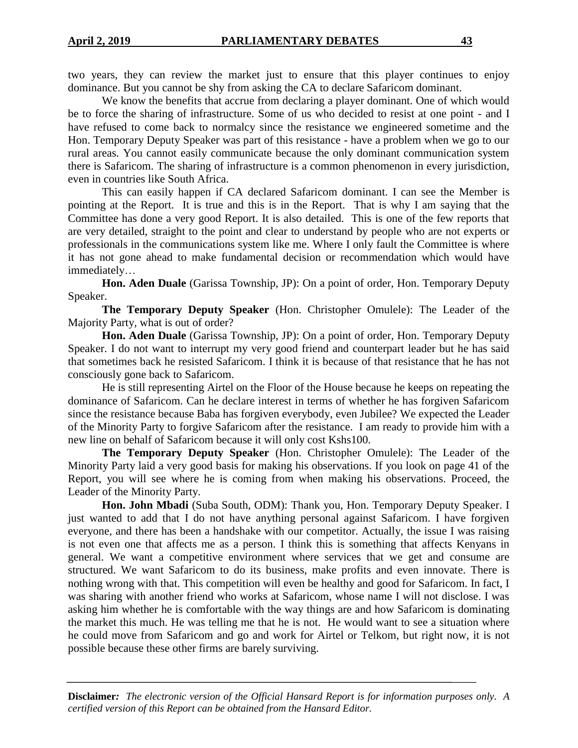We know the benefits that accrue from declaring a player dominant. One of which would be to force the sharing of infrastructure. Some of us who decided to resist at one point - and I have refused to come back to normalcy since the resistance we engineered sometime and the Hon. Temporary Deputy Speaker was part of this resistance - have a problem when we go to our rural areas. You cannot easily communicate because the only dominant communication system there is Safaricom. The sharing of infrastructure is a common phenomenon in every jurisdiction, even in countries like South Africa.

This can easily happen if CA declared Safaricom dominant. I can see the Member is pointing at the Report. It is true and this is in the Report. That is why I am saying that the Committee has done a very good Report. It is also detailed. This is one of the few reports that are very detailed, straight to the point and clear to understand by people who are not experts or professionals in the communications system like me. Where I only fault the Committee is where it has not gone ahead to make fundamental decision or recommendation which would have immediately…

**Hon. Aden Duale** (Garissa Township, JP): On a point of order, Hon. Temporary Deputy Speaker.

**The Temporary Deputy Speaker** (Hon. Christopher Omulele): The Leader of the Majority Party, what is out of order?

**Hon. Aden Duale** (Garissa Township, JP): On a point of order, Hon. Temporary Deputy Speaker. I do not want to interrupt my very good friend and counterpart leader but he has said that sometimes back he resisted Safaricom. I think it is because of that resistance that he has not consciously gone back to Safaricom.

He is still representing Airtel on the Floor of the House because he keeps on repeating the dominance of Safaricom. Can he declare interest in terms of whether he has forgiven Safaricom since the resistance because Baba has forgiven everybody, even Jubilee? We expected the Leader of the Minority Party to forgive Safaricom after the resistance. I am ready to provide him with a new line on behalf of Safaricom because it will only cost Kshs100.

**The Temporary Deputy Speaker** (Hon. Christopher Omulele): The Leader of the Minority Party laid a very good basis for making his observations. If you look on page 41 of the Report, you will see where he is coming from when making his observations. Proceed, the Leader of the Minority Party.

**Hon. John Mbadi** (Suba South, ODM): Thank you, Hon. Temporary Deputy Speaker. I just wanted to add that I do not have anything personal against Safaricom. I have forgiven everyone, and there has been a handshake with our competitor. Actually, the issue I was raising is not even one that affects me as a person. I think this is something that affects Kenyans in general. We want a competitive environment where services that we get and consume are structured. We want Safaricom to do its business, make profits and even innovate. There is nothing wrong with that. This competition will even be healthy and good for Safaricom. In fact, I was sharing with another friend who works at Safaricom, whose name I will not disclose. I was asking him whether he is comfortable with the way things are and how Safaricom is dominating the market this much. He was telling me that he is not. He would want to see a situation where he could move from Safaricom and go and work for Airtel or Telkom, but right now, it is not possible because these other firms are barely surviving.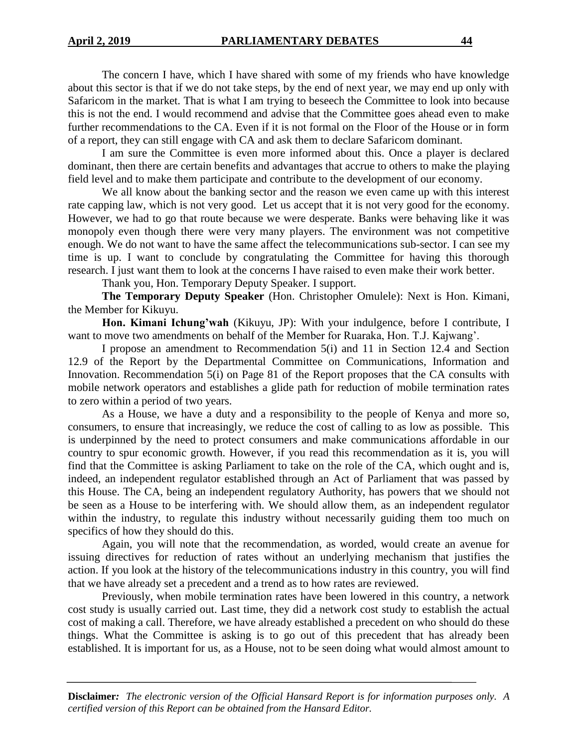The concern I have, which I have shared with some of my friends who have knowledge about this sector is that if we do not take steps, by the end of next year, we may end up only with Safaricom in the market. That is what I am trying to beseech the Committee to look into because this is not the end. I would recommend and advise that the Committee goes ahead even to make further recommendations to the CA. Even if it is not formal on the Floor of the House or in form of a report, they can still engage with CA and ask them to declare Safaricom dominant.

I am sure the Committee is even more informed about this. Once a player is declared dominant, then there are certain benefits and advantages that accrue to others to make the playing field level and to make them participate and contribute to the development of our economy.

We all know about the banking sector and the reason we even came up with this interest rate capping law, which is not very good. Let us accept that it is not very good for the economy. However, we had to go that route because we were desperate. Banks were behaving like it was monopoly even though there were very many players. The environment was not competitive enough. We do not want to have the same affect the telecommunications sub-sector. I can see my time is up. I want to conclude by congratulating the Committee for having this thorough research. I just want them to look at the concerns I have raised to even make their work better.

Thank you, Hon. Temporary Deputy Speaker. I support.

**The Temporary Deputy Speaker** (Hon. Christopher Omulele): Next is Hon. Kimani, the Member for Kikuyu.

**Hon. Kimani Ichung'wah** (Kikuyu, JP): With your indulgence, before I contribute, I want to move two amendments on behalf of the Member for Ruaraka, Hon. T.J. Kajwang'.

I propose an amendment to Recommendation 5(i) and 11 in Section 12.4 and Section 12.9 of the Report by the Departmental Committee on Communications, Information and Innovation. Recommendation 5(i) on Page 81 of the Report proposes that the CA consults with mobile network operators and establishes a glide path for reduction of mobile termination rates to zero within a period of two years.

As a House, we have a duty and a responsibility to the people of Kenya and more so, consumers, to ensure that increasingly, we reduce the cost of calling to as low as possible. This is underpinned by the need to protect consumers and make communications affordable in our country to spur economic growth. However, if you read this recommendation as it is, you will find that the Committee is asking Parliament to take on the role of the CA, which ought and is, indeed, an independent regulator established through an Act of Parliament that was passed by this House. The CA, being an independent regulatory Authority, has powers that we should not be seen as a House to be interfering with. We should allow them, as an independent regulator within the industry, to regulate this industry without necessarily guiding them too much on specifics of how they should do this.

Again, you will note that the recommendation, as worded, would create an avenue for issuing directives for reduction of rates without an underlying mechanism that justifies the action. If you look at the history of the telecommunications industry in this country, you will find that we have already set a precedent and a trend as to how rates are reviewed.

Previously, when mobile termination rates have been lowered in this country, a network cost study is usually carried out. Last time, they did a network cost study to establish the actual cost of making a call. Therefore, we have already established a precedent on who should do these things. What the Committee is asking is to go out of this precedent that has already been established. It is important for us, as a House, not to be seen doing what would almost amount to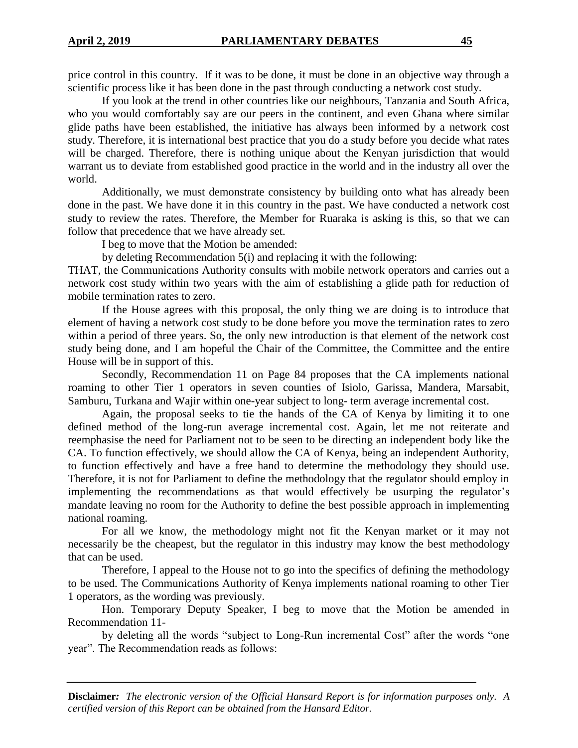If you look at the trend in other countries like our neighbours, Tanzania and South Africa, who you would comfortably say are our peers in the continent, and even Ghana where similar glide paths have been established, the initiative has always been informed by a network cost study. Therefore, it is international best practice that you do a study before you decide what rates will be charged. Therefore, there is nothing unique about the Kenyan jurisdiction that would warrant us to deviate from established good practice in the world and in the industry all over the world.

Additionally, we must demonstrate consistency by building onto what has already been done in the past. We have done it in this country in the past. We have conducted a network cost study to review the rates. Therefore, the Member for Ruaraka is asking is this, so that we can follow that precedence that we have already set.

I beg to move that the Motion be amended:

by deleting Recommendation 5(i) and replacing it with the following:

THAT, the Communications Authority consults with mobile network operators and carries out a network cost study within two years with the aim of establishing a glide path for reduction of mobile termination rates to zero.

If the House agrees with this proposal, the only thing we are doing is to introduce that element of having a network cost study to be done before you move the termination rates to zero within a period of three years. So, the only new introduction is that element of the network cost study being done, and I am hopeful the Chair of the Committee, the Committee and the entire House will be in support of this.

Secondly, Recommendation 11 on Page 84 proposes that the CA implements national roaming to other Tier 1 operators in seven counties of Isiolo, Garissa, Mandera, Marsabit, Samburu, Turkana and Wajir within one-year subject to long- term average incremental cost.

Again, the proposal seeks to tie the hands of the CA of Kenya by limiting it to one defined method of the long-run average incremental cost. Again, let me not reiterate and reemphasise the need for Parliament not to be seen to be directing an independent body like the CA. To function effectively, we should allow the CA of Kenya, being an independent Authority, to function effectively and have a free hand to determine the methodology they should use. Therefore, it is not for Parliament to define the methodology that the regulator should employ in implementing the recommendations as that would effectively be usurping the regulator's mandate leaving no room for the Authority to define the best possible approach in implementing national roaming.

For all we know, the methodology might not fit the Kenyan market or it may not necessarily be the cheapest, but the regulator in this industry may know the best methodology that can be used.

Therefore, I appeal to the House not to go into the specifics of defining the methodology to be used. The Communications Authority of Kenya implements national roaming to other Tier 1 operators, as the wording was previously.

Hon. Temporary Deputy Speaker, I beg to move that the Motion be amended in Recommendation 11-

by deleting all the words "subject to Long-Run incremental Cost" after the words "one year". The Recommendation reads as follows: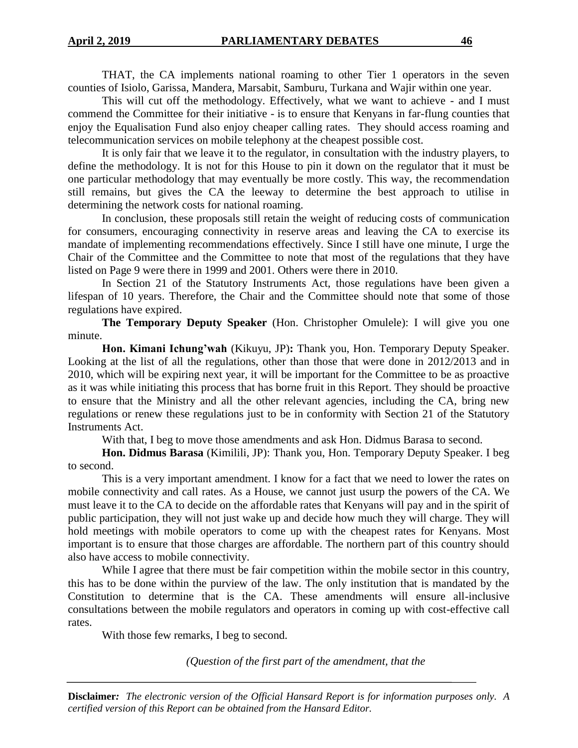THAT, the CA implements national roaming to other Tier 1 operators in the seven counties of Isiolo, Garissa, Mandera, Marsabit, Samburu, Turkana and Wajir within one year.

This will cut off the methodology. Effectively, what we want to achieve - and I must commend the Committee for their initiative - is to ensure that Kenyans in far-flung counties that enjoy the Equalisation Fund also enjoy cheaper calling rates. They should access roaming and telecommunication services on mobile telephony at the cheapest possible cost.

It is only fair that we leave it to the regulator, in consultation with the industry players, to define the methodology. It is not for this House to pin it down on the regulator that it must be one particular methodology that may eventually be more costly. This way, the recommendation still remains, but gives the CA the leeway to determine the best approach to utilise in determining the network costs for national roaming.

In conclusion, these proposals still retain the weight of reducing costs of communication for consumers, encouraging connectivity in reserve areas and leaving the CA to exercise its mandate of implementing recommendations effectively. Since I still have one minute, I urge the Chair of the Committee and the Committee to note that most of the regulations that they have listed on Page 9 were there in 1999 and 2001. Others were there in 2010.

In Section 21 of the Statutory Instruments Act, those regulations have been given a lifespan of 10 years. Therefore, the Chair and the Committee should note that some of those regulations have expired.

**The Temporary Deputy Speaker** (Hon. Christopher Omulele): I will give you one minute.

**Hon. Kimani Ichung'wah** (Kikuyu, JP)**:** Thank you, Hon. Temporary Deputy Speaker. Looking at the list of all the regulations, other than those that were done in 2012/2013 and in 2010, which will be expiring next year, it will be important for the Committee to be as proactive as it was while initiating this process that has borne fruit in this Report. They should be proactive to ensure that the Ministry and all the other relevant agencies, including the CA, bring new regulations or renew these regulations just to be in conformity with Section 21 of the Statutory Instruments Act.

With that, I beg to move those amendments and ask Hon. Didmus Barasa to second.

**Hon. Didmus Barasa** (Kimilili, JP): Thank you, Hon. Temporary Deputy Speaker. I beg to second.

This is a very important amendment. I know for a fact that we need to lower the rates on mobile connectivity and call rates. As a House, we cannot just usurp the powers of the CA. We must leave it to the CA to decide on the affordable rates that Kenyans will pay and in the spirit of public participation, they will not just wake up and decide how much they will charge. They will hold meetings with mobile operators to come up with the cheapest rates for Kenyans. Most important is to ensure that those charges are affordable. The northern part of this country should also have access to mobile connectivity.

While I agree that there must be fair competition within the mobile sector in this country, this has to be done within the purview of the law. The only institution that is mandated by the Constitution to determine that is the CA. These amendments will ensure all-inclusive consultations between the mobile regulators and operators in coming up with cost-effective call rates.

With those few remarks, I beg to second.

*(Question of the first part of the amendment, that the*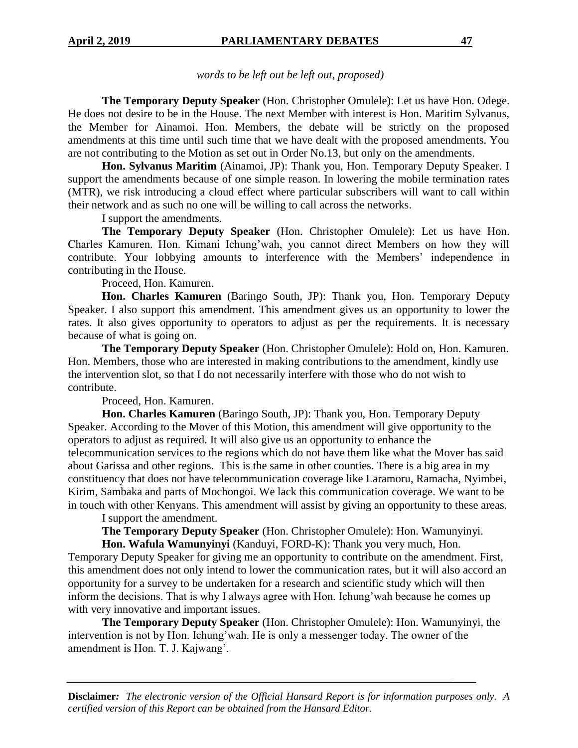*words to be left out be left out, proposed)* 

**The Temporary Deputy Speaker** (Hon. Christopher Omulele): Let us have Hon. Odege. He does not desire to be in the House. The next Member with interest is Hon. Maritim Sylvanus, the Member for Ainamoi. Hon. Members, the debate will be strictly on the proposed amendments at this time until such time that we have dealt with the proposed amendments. You are not contributing to the Motion as set out in Order No.13, but only on the amendments.

**Hon. Sylvanus Maritim** (Ainamoi, JP): Thank you, Hon. Temporary Deputy Speaker. I support the amendments because of one simple reason. In lowering the mobile termination rates (MTR), we risk introducing a cloud effect where particular subscribers will want to call within their network and as such no one will be willing to call across the networks.

I support the amendments.

**The Temporary Deputy Speaker** (Hon. Christopher Omulele): Let us have Hon. Charles Kamuren. Hon. Kimani Ichung'wah, you cannot direct Members on how they will contribute. Your lobbying amounts to interference with the Members' independence in contributing in the House.

Proceed, Hon. Kamuren.

**Hon. Charles Kamuren** (Baringo South, JP): Thank you, Hon. Temporary Deputy Speaker. I also support this amendment. This amendment gives us an opportunity to lower the rates. It also gives opportunity to operators to adjust as per the requirements. It is necessary because of what is going on.

**The Temporary Deputy Speaker** (Hon. Christopher Omulele): Hold on, Hon. Kamuren. Hon. Members, those who are interested in making contributions to the amendment, kindly use the intervention slot, so that I do not necessarily interfere with those who do not wish to contribute.

Proceed, Hon. Kamuren.

**Hon. Charles Kamuren** (Baringo South, JP): Thank you, Hon. Temporary Deputy Speaker. According to the Mover of this Motion, this amendment will give opportunity to the operators to adjust as required. It will also give us an opportunity to enhance the telecommunication services to the regions which do not have them like what the Mover has said about Garissa and other regions. This is the same in other counties. There is a big area in my constituency that does not have telecommunication coverage like Laramoru, Ramacha, Nyimbei, Kirim, Sambaka and parts of Mochongoi. We lack this communication coverage. We want to be in touch with other Kenyans. This amendment will assist by giving an opportunity to these areas.

I support the amendment.

**The Temporary Deputy Speaker** (Hon. Christopher Omulele): Hon. Wamunyinyi. **Hon. Wafula Wamunyinyi** (Kanduyi, FORD-K): Thank you very much, Hon.

Temporary Deputy Speaker for giving me an opportunity to contribute on the amendment. First, this amendment does not only intend to lower the communication rates, but it will also accord an opportunity for a survey to be undertaken for a research and scientific study which will then inform the decisions. That is why I always agree with Hon. Ichung'wah because he comes up with very innovative and important issues.

**The Temporary Deputy Speaker** (Hon. Christopher Omulele): Hon. Wamunyinyi, the intervention is not by Hon. Ichung'wah. He is only a messenger today. The owner of the amendment is Hon. T. J. Kajwang'.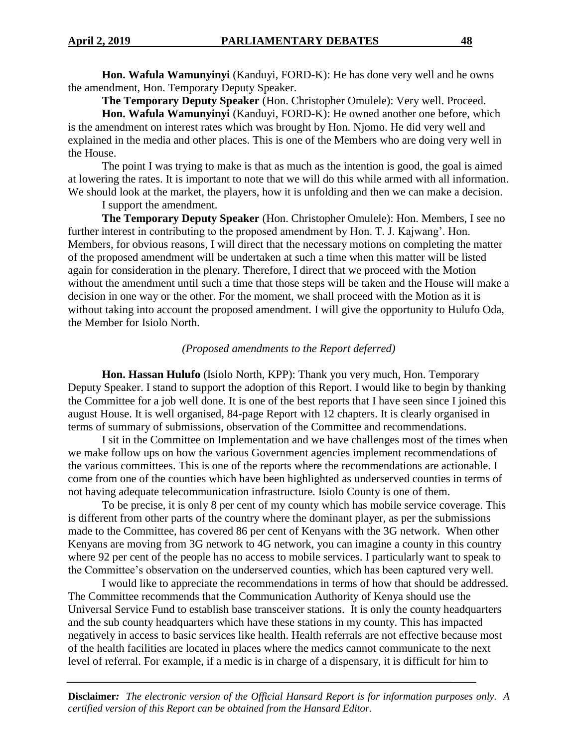**Hon. Wafula Wamunyinyi** (Kanduyi, FORD-K): He has done very well and he owns the amendment, Hon. Temporary Deputy Speaker.

**The Temporary Deputy Speaker** (Hon. Christopher Omulele): Very well. Proceed.

**Hon. Wafula Wamunyinyi** (Kanduyi, FORD-K): He owned another one before, which is the amendment on interest rates which was brought by Hon. Njomo. He did very well and explained in the media and other places. This is one of the Members who are doing very well in the House.

The point I was trying to make is that as much as the intention is good, the goal is aimed at lowering the rates. It is important to note that we will do this while armed with all information. We should look at the market, the players, how it is unfolding and then we can make a decision.

I support the amendment.

**The Temporary Deputy Speaker** (Hon. Christopher Omulele): Hon. Members, I see no further interest in contributing to the proposed amendment by Hon. T. J. Kajwang'. Hon. Members, for obvious reasons, I will direct that the necessary motions on completing the matter of the proposed amendment will be undertaken at such a time when this matter will be listed again for consideration in the plenary. Therefore, I direct that we proceed with the Motion without the amendment until such a time that those steps will be taken and the House will make a decision in one way or the other. For the moment, we shall proceed with the Motion as it is without taking into account the proposed amendment. I will give the opportunity to Hulufo Oda, the Member for Isiolo North.

## *(Proposed amendments to the Report deferred)*

**Hon. Hassan Hulufo** (Isiolo North, KPP): Thank you very much, Hon. Temporary Deputy Speaker. I stand to support the adoption of this Report. I would like to begin by thanking the Committee for a job well done. It is one of the best reports that I have seen since I joined this august House. It is well organised, 84-page Report with 12 chapters. It is clearly organised in terms of summary of submissions, observation of the Committee and recommendations.

I sit in the Committee on Implementation and we have challenges most of the times when we make follow ups on how the various Government agencies implement recommendations of the various committees. This is one of the reports where the recommendations are actionable. I come from one of the counties which have been highlighted as underserved counties in terms of not having adequate telecommunication infrastructure. Isiolo County is one of them.

To be precise, it is only 8 per cent of my county which has mobile service coverage. This is different from other parts of the country where the dominant player, as per the submissions made to the Committee, has covered 86 per cent of Kenyans with the 3G network. When other Kenyans are moving from 3G network to 4G network, you can imagine a county in this country where 92 per cent of the people has no access to mobile services. I particularly want to speak to the Committee's observation on the underserved counties, which has been captured very well.

I would like to appreciate the recommendations in terms of how that should be addressed. The Committee recommends that the Communication Authority of Kenya should use the Universal Service Fund to establish base transceiver stations. It is only the county headquarters and the sub county headquarters which have these stations in my county. This has impacted negatively in access to basic services like health. Health referrals are not effective because most of the health facilities are located in places where the medics cannot communicate to the next level of referral. For example, if a medic is in charge of a dispensary, it is difficult for him to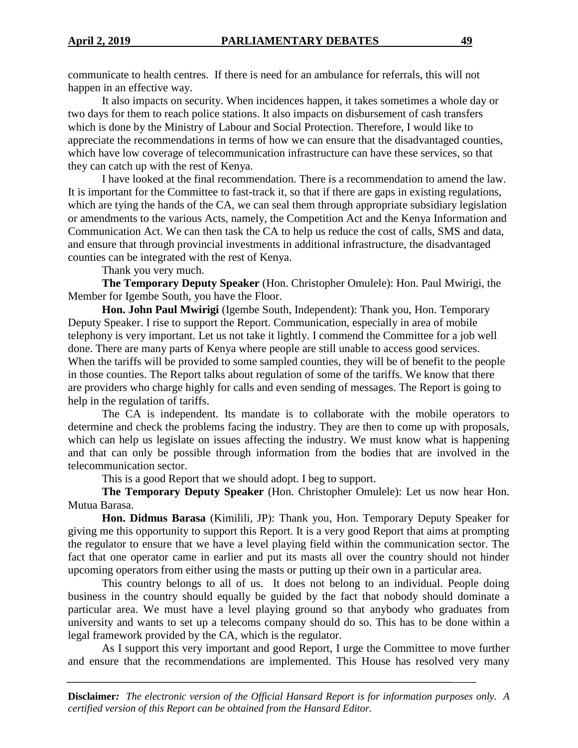communicate to health centres. If there is need for an ambulance for referrals, this will not happen in an effective way.

It also impacts on security. When incidences happen, it takes sometimes a whole day or two days for them to reach police stations. It also impacts on disbursement of cash transfers which is done by the Ministry of Labour and Social Protection. Therefore, I would like to appreciate the recommendations in terms of how we can ensure that the disadvantaged counties, which have low coverage of telecommunication infrastructure can have these services, so that they can catch up with the rest of Kenya.

I have looked at the final recommendation. There is a recommendation to amend the law. It is important for the Committee to fast-track it, so that if there are gaps in existing regulations, which are tying the hands of the CA, we can seal them through appropriate subsidiary legislation or amendments to the various Acts, namely, the Competition Act and the Kenya Information and Communication Act. We can then task the CA to help us reduce the cost of calls, SMS and data, and ensure that through provincial investments in additional infrastructure, the disadvantaged counties can be integrated with the rest of Kenya.

Thank you very much.

**The Temporary Deputy Speaker** (Hon. Christopher Omulele): Hon. Paul Mwirigi, the Member for Igembe South, you have the Floor.

**Hon. John Paul Mwirigi** (Igembe South, Independent): Thank you, Hon. Temporary Deputy Speaker. I rise to support the Report. Communication, especially in area of mobile telephony is very important. Let us not take it lightly. I commend the Committee for a job well done. There are many parts of Kenya where people are still unable to access good services. When the tariffs will be provided to some sampled counties, they will be of benefit to the people in those counties. The Report talks about regulation of some of the tariffs. We know that there are providers who charge highly for calls and even sending of messages. The Report is going to help in the regulation of tariffs.

The CA is independent. Its mandate is to collaborate with the mobile operators to determine and check the problems facing the industry. They are then to come up with proposals, which can help us legislate on issues affecting the industry. We must know what is happening and that can only be possible through information from the bodies that are involved in the telecommunication sector.

This is a good Report that we should adopt. I beg to support.

**The Temporary Deputy Speaker** (Hon. Christopher Omulele): Let us now hear Hon. Mutua Barasa.

**Hon. Didmus Barasa** (Kimilili, JP): Thank you, Hon. Temporary Deputy Speaker for giving me this opportunity to support this Report. It is a very good Report that aims at prompting the regulator to ensure that we have a level playing field within the communication sector. The fact that one operator came in earlier and put its masts all over the country should not hinder upcoming operators from either using the masts or putting up their own in a particular area.

This country belongs to all of us. It does not belong to an individual. People doing business in the country should equally be guided by the fact that nobody should dominate a particular area. We must have a level playing ground so that anybody who graduates from university and wants to set up a telecoms company should do so. This has to be done within a legal framework provided by the CA, which is the regulator.

As I support this very important and good Report, I urge the Committee to move further and ensure that the recommendations are implemented. This House has resolved very many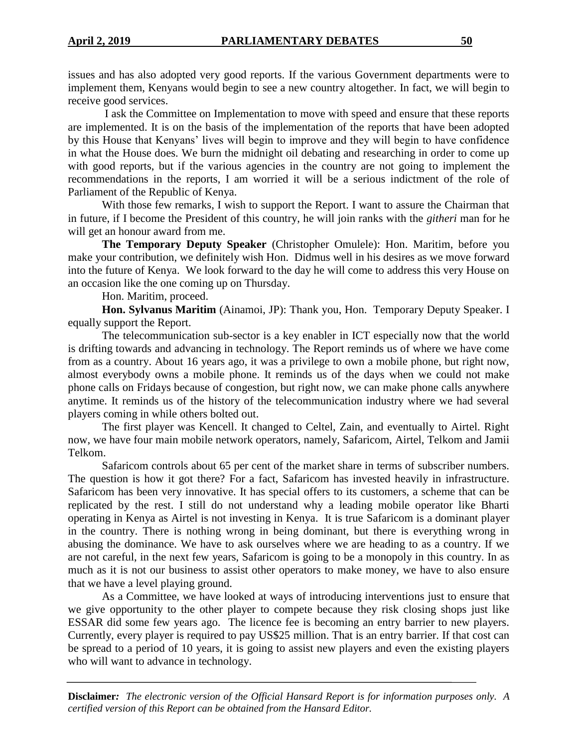issues and has also adopted very good reports. If the various Government departments were to implement them, Kenyans would begin to see a new country altogether. In fact, we will begin to receive good services.

I ask the Committee on Implementation to move with speed and ensure that these reports are implemented. It is on the basis of the implementation of the reports that have been adopted by this House that Kenyans' lives will begin to improve and they will begin to have confidence in what the House does. We burn the midnight oil debating and researching in order to come up with good reports, but if the various agencies in the country are not going to implement the recommendations in the reports, I am worried it will be a serious indictment of the role of Parliament of the Republic of Kenya.

With those few remarks, I wish to support the Report. I want to assure the Chairman that in future, if I become the President of this country, he will join ranks with the *githeri* man for he will get an honour award from me.

**The Temporary Deputy Speaker** (Christopher Omulele): Hon. Maritim, before you make your contribution, we definitely wish Hon. Didmus well in his desires as we move forward into the future of Kenya. We look forward to the day he will come to address this very House on an occasion like the one coming up on Thursday.

Hon. Maritim, proceed.

**Hon. Sylvanus Maritim** (Ainamoi, JP): Thank you, Hon. Temporary Deputy Speaker. I equally support the Report.

The telecommunication sub-sector is a key enabler in ICT especially now that the world is drifting towards and advancing in technology. The Report reminds us of where we have come from as a country. About 16 years ago, it was a privilege to own a mobile phone, but right now, almost everybody owns a mobile phone. It reminds us of the days when we could not make phone calls on Fridays because of congestion, but right now, we can make phone calls anywhere anytime. It reminds us of the history of the telecommunication industry where we had several players coming in while others bolted out.

The first player was Kencell. It changed to Celtel, Zain, and eventually to Airtel. Right now, we have four main mobile network operators, namely, Safaricom, Airtel, Telkom and Jamii Telkom.

Safaricom controls about 65 per cent of the market share in terms of subscriber numbers. The question is how it got there? For a fact, Safaricom has invested heavily in infrastructure. Safaricom has been very innovative. It has special offers to its customers, a scheme that can be replicated by the rest. I still do not understand why a leading mobile operator like Bharti operating in Kenya as Airtel is not investing in Kenya. It is true Safaricom is a dominant player in the country. There is nothing wrong in being dominant, but there is everything wrong in abusing the dominance. We have to ask ourselves where we are heading to as a country. If we are not careful, in the next few years, Safaricom is going to be a monopoly in this country. In as much as it is not our business to assist other operators to make money, we have to also ensure that we have a level playing ground.

As a Committee, we have looked at ways of introducing interventions just to ensure that we give opportunity to the other player to compete because they risk closing shops just like ESSAR did some few years ago. The licence fee is becoming an entry barrier to new players. Currently, every player is required to pay US\$25 million. That is an entry barrier. If that cost can be spread to a period of 10 years, it is going to assist new players and even the existing players who will want to advance in technology.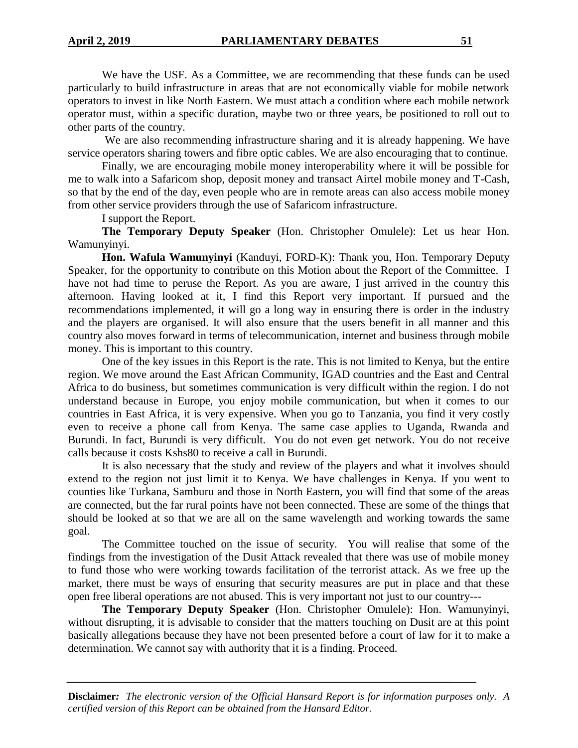We have the USF. As a Committee, we are recommending that these funds can be used particularly to build infrastructure in areas that are not economically viable for mobile network operators to invest in like North Eastern. We must attach a condition where each mobile network operator must, within a specific duration, maybe two or three years, be positioned to roll out to other parts of the country.

We are also recommending infrastructure sharing and it is already happening. We have service operators sharing towers and fibre optic cables. We are also encouraging that to continue.

Finally, we are encouraging mobile money interoperability where it will be possible for me to walk into a Safaricom shop, deposit money and transact Airtel mobile money and T-Cash, so that by the end of the day, even people who are in remote areas can also access mobile money from other service providers through the use of Safaricom infrastructure.

I support the Report.

**The Temporary Deputy Speaker** (Hon. Christopher Omulele): Let us hear Hon. Wamunyinyi.

**Hon. Wafula Wamunyinyi** (Kanduyi, FORD-K): Thank you, Hon. Temporary Deputy Speaker, for the opportunity to contribute on this Motion about the Report of the Committee. I have not had time to peruse the Report. As you are aware, I just arrived in the country this afternoon. Having looked at it, I find this Report very important. If pursued and the recommendations implemented, it will go a long way in ensuring there is order in the industry and the players are organised. It will also ensure that the users benefit in all manner and this country also moves forward in terms of telecommunication, internet and business through mobile money. This is important to this country.

One of the key issues in this Report is the rate. This is not limited to Kenya, but the entire region. We move around the East African Community, IGAD countries and the East and Central Africa to do business, but sometimes communication is very difficult within the region. I do not understand because in Europe, you enjoy mobile communication, but when it comes to our countries in East Africa, it is very expensive. When you go to Tanzania, you find it very costly even to receive a phone call from Kenya. The same case applies to Uganda, Rwanda and Burundi. In fact, Burundi is very difficult. You do not even get network. You do not receive calls because it costs Kshs80 to receive a call in Burundi.

It is also necessary that the study and review of the players and what it involves should extend to the region not just limit it to Kenya. We have challenges in Kenya. If you went to counties like Turkana, Samburu and those in North Eastern, you will find that some of the areas are connected, but the far rural points have not been connected. These are some of the things that should be looked at so that we are all on the same wavelength and working towards the same goal.

The Committee touched on the issue of security. You will realise that some of the findings from the investigation of the Dusit Attack revealed that there was use of mobile money to fund those who were working towards facilitation of the terrorist attack. As we free up the market, there must be ways of ensuring that security measures are put in place and that these open free liberal operations are not abused. This is very important not just to our country---

**The Temporary Deputy Speaker** (Hon. Christopher Omulele): Hon. Wamunyinyi, without disrupting, it is advisable to consider that the matters touching on Dusit are at this point basically allegations because they have not been presented before a court of law for it to make a determination. We cannot say with authority that it is a finding. Proceed.